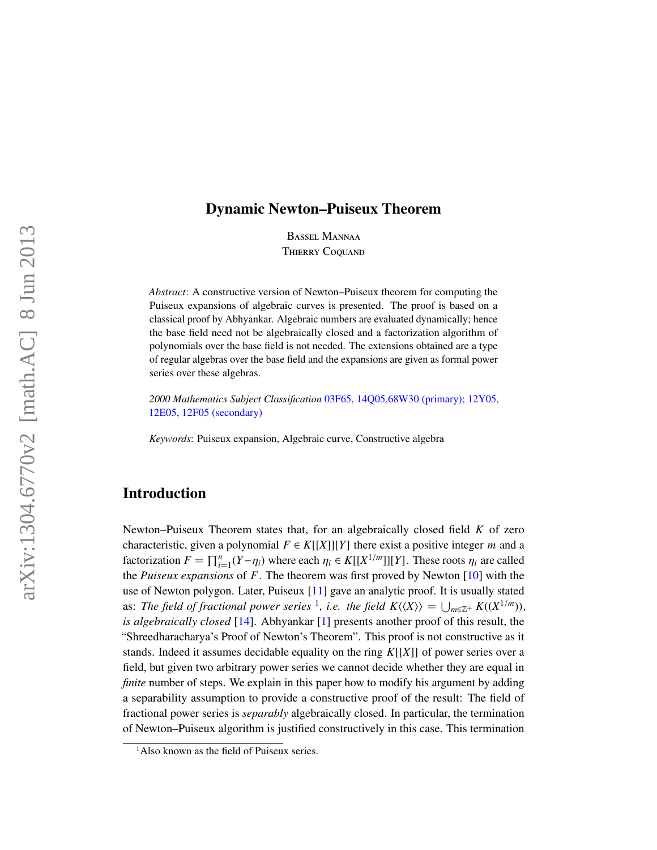# Dynamic Newton–Puiseux Theorem

Bassel Mannaa **THIERRY COQUAND** 

*Abstract*: A constructive version of Newton–Puiseux theorem for computing the Puiseux expansions of algebraic curves is presented. The proof is based on a classical proof by Abhyankar. Algebraic numbers are evaluated dynamically; hence the base field need not be algebraically closed and a factorization algorithm of polynomials over the base field is not needed. The extensions obtained are a type of regular algebras over the base field and the expansions are given as formal power series over these algebras.

*2000 Mathematics Subject Classification* [03F65, 14Q05,68W30 \(primary\); 12Y05,](http://www.ams.org/mathscinet/search/mscdoc.html?code=03F65, 14Q05,68W30,(12Y05, 12E05, 12F05)) [12E05, 12F05 \(secondary\)](http://www.ams.org/mathscinet/search/mscdoc.html?code=03F65, 14Q05,68W30,(12Y05, 12E05, 12F05))

*Keywords*: Puiseux expansion, Algebraic curve, Constructive algebra

# Introduction

Newton–Puiseux Theorem states that, for an algebraically closed field *K* of zero characteristic, given a polynomial  $F \in K[[X]][Y]$  there exist a positive integer *m* and a factorization  $F = \prod_{i=1}^{n} (Y - \eta_i)$  where each  $\eta_i \in K[[X^{1/m}]][Y]$ . These roots  $\eta_i$  are called<br>the *Puiseux expansions* of *F*. The theorem was first proved by Novton [10] with the the *Puiseux expansions* of *F*. The theorem was first proved by Newton [\[10\]](#page-21-0) with the use of Newton polygon. Later, Puiseux [\[11\]](#page-21-1) gave an analytic proof. It is usually stated as: The field of fractional power series <sup>[1](#page-0-0)</sup>, i.e. the field  $K\langle\langle X\rangle\rangle = \bigcup_{m\in\mathbb{Z}^+} K((X^{1/m}))$ , *is algebraically closed* [\[14\]](#page-21-2). Abhyankar [\[1\]](#page-21-3) presents another proof of this result, the "Shreedharacharya's Proof of Newton's Theorem". This proof is not constructive as it stands. Indeed it assumes decidable equality on the ring *K*[[*X*]] of power series over a field, but given two arbitrary power series we cannot decide whether they are equal in *finite* number of steps. We explain in this paper how to modify his argument by adding a separability assumption to provide a constructive proof of the result: The field of fractional power series is *separably* algebraically closed. In particular, the termination of Newton–Puiseux algorithm is justified constructively in this case. This termination

<span id="page-0-0"></span><sup>&</sup>lt;sup>1</sup>Also known as the field of Puiseux series.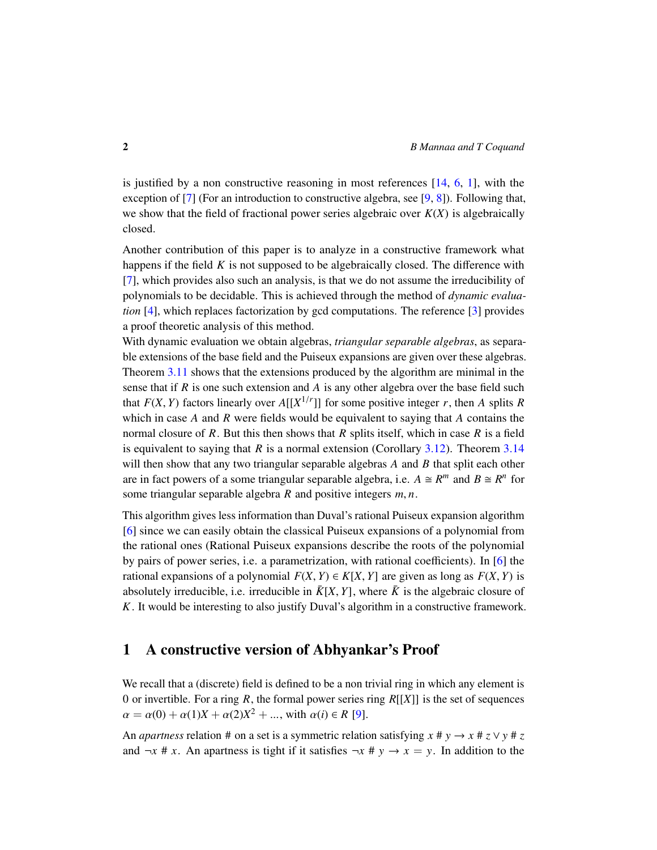is justified by a non constructive reasoning in most references [\[14,](#page-21-2) [6,](#page-21-4) [1\]](#page-21-3), with the exception of [\[7\]](#page-21-5) (For an introduction to constructive algebra, see [\[9,](#page-21-6) [8\]](#page-21-7)). Following that, we show that the field of fractional power series algebraic over  $K(X)$  is algebraically closed.

Another contribution of this paper is to analyze in a constructive framework what happens if the field *K* is not supposed to be algebraically closed. The difference with [\[7\]](#page-21-5), which provides also such an analysis, is that we do not assume the irreducibility of polynomials to be decidable. This is achieved through the method of *dynamic evaluation* [\[4\]](#page-21-8), which replaces factorization by gcd computations. The reference [\[3\]](#page-21-9) provides a proof theoretic analysis of this method.

With dynamic evaluation we obtain algebras, *triangular separable algebras*, as separable extensions of the base field and the Puiseux expansions are given over these algebras. Theorem [3.11](#page-16-0) shows that the extensions produced by the algorithm are minimal in the sense that if *R* is one such extension and *A* is any other algebra over the base field such that  $F(X, Y)$  factors linearly over  $A[[X^{1/r}]]$  for some positive integer *r*, then *A* splits *R* which in case *A* and *B* were fields would be equivalent to saying that *A* contains the which in case *A* and *R* were fields would be equivalent to saying that *A* contains the normal closure of *R*. But this then shows that *R* splits itself, which in case *R* is a field is equivalent to saying that *R* is a normal extension (Corollary [3.12\)](#page-16-1). Theorem [3.14](#page-17-0) will then show that any two triangular separable algebras *A* and *B* that split each other are in fact powers of a some triangular separable algebra, i.e.  $A \cong R^m$  and  $B \cong R^n$  for some triangular separable algebra *<sup>R</sup>* and positive integers *<sup>m</sup>*, *<sup>n</sup>*.

This algorithm gives less information than Duval's rational Puiseux expansion algorithm [\[6\]](#page-21-4) since we can easily obtain the classical Puiseux expansions of a polynomial from the rational ones (Rational Puiseux expansions describe the roots of the polynomial by pairs of power series, i.e. a parametrization, with rational coefficients). In [\[6\]](#page-21-4) the rational expansions of a polynomial  $F(X, Y) \in K[X, Y]$  are given as long as  $F(X, Y)$  is absolutely irreducible, i.e. irreducible in  $\overline{K}[X, Y]$ , where  $\overline{K}$  is the algebraic closure of *K*. It would be interesting to also justify Duval's algorithm in a constructive framework.

## 1 A constructive version of Abhyankar's Proof

We recall that a (discrete) field is defined to be a non trivial ring in which any element is 0 or invertible. For a ring *R*, the formal power series ring *R*[[*X*]] is the set of sequences  $\alpha = \alpha(0) + \alpha(1)X + \alpha(2)X^2 + \dots$ , with  $\alpha(i) \in R$  [\[9\]](#page-21-6).

An *apartness* relation # on a set is a symmetric relation satisfying  $x \# y \to x \# z \lor y \# z$ and  $\neg x \# x$ . An apartness is tight if it satisfies  $\neg x \# y \rightarrow x = y$ . In addition to the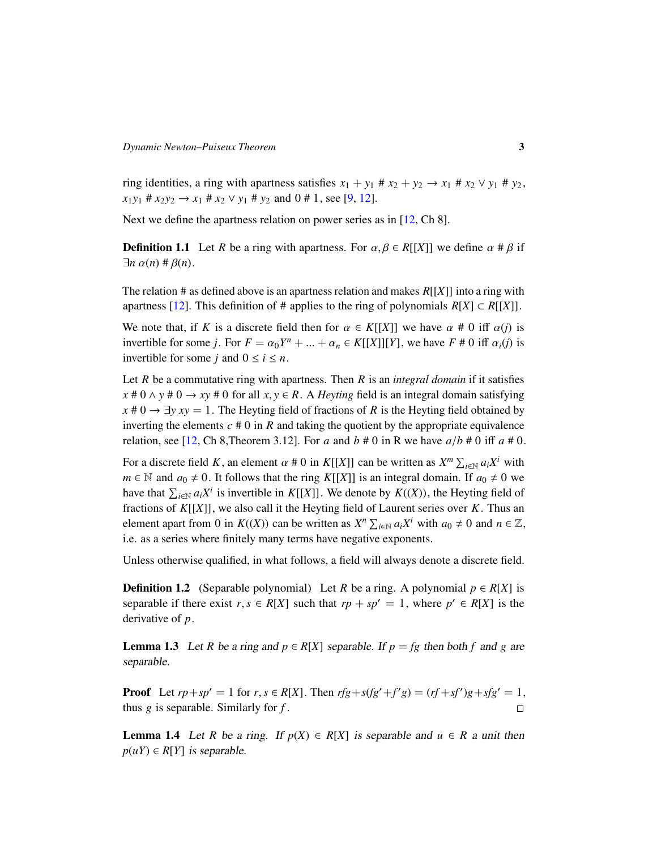ring identities, a ring with apartness satisfies  $x_1 + y_1 \# x_2 + y_2 \rightarrow x_1 \# x_2 \lor y_1 \# y_2$ ,  $x_1y_1$  #  $x_2y_2 \rightarrow x_1$  #  $x_2 \vee y_1$  #  $y_2$  and 0 # 1, see [\[9,](#page-21-6) [12\]](#page-21-10).

Next we define the apartness relation on power series as in [\[12,](#page-21-10) Ch 8].

**Definition 1.1** Let *R* be a ring with apartness. For  $\alpha, \beta \in R[[X]]$  we define  $\alpha \neq \beta$  if  $\exists n \alpha(n) \# \beta(n)$ .

The relation # as defined above is an apartness relation and makes *R*[[*X*]] into a ring with apartness [\[12\]](#page-21-10). This definition of # applies to the ring of polynomials  $R[X] \subset R[[X]]$ .

We note that, if *K* is a discrete field then for  $\alpha \in K[[X]]$  we have  $\alpha \neq 0$  iff  $\alpha(j)$  is invertible for some *j*. For  $F = \alpha_0 Y^n + ... + \alpha_n \in K[[X]][Y]$ , we have  $F \neq 0$  iff  $\alpha_i(j)$  is invertible for some *i* and  $0 \leq i \leq n$ invertible for some *j* and  $0 \le i \le n$ .

Let *R* be a commutative ring with apartness. Then *R* is an *integral domain* if it satisfies  $x # 0 \land y # 0 \rightarrow xy # 0$  for all  $x, y \in R$ . A *Heyting* field is an integral domain satisfying  $x \neq 0 \rightarrow \exists y \, xy = 1$ . The Heyting field of fractions of *R* is the Heyting field obtained by inverting the elements  $c \neq 0$  in  $R$  and taking the quotient by the appropriate equivalence relation, see [\[12,](#page-21-10) Ch 8, Theorem 3.12]. For *a* and  $b \neq 0$  in R we have  $a/b \neq 0$  iff  $a \neq 0$ .

For a discrete field *K*, an element  $\alpha \neq 0$  in *K*[[*X*]] can be written as  $X^m \sum_{i \in \mathbb{N}} a_i X^i$  with  $m \in \mathbb{N}$  and  $a_i \neq 0$ . It follows that the ring *K*[[*X*]] is an integral domain. If  $a_i \neq 0$  we *m*  $\in$  *N* and *a*<sub>0</sub>  $\neq$  0. It follows that the ring *K*[[*X*]] is an integral domain. If *a*<sub>0</sub>  $\neq$  0 we have that  $\sum_{i \in \mathbb{N}} a_i X^i$  is invertible in *K*[[*X*]]. We denote by *K*((*X*)), the Heyting field of fractions of *K*[[*X*]], we also call it the Heyting field of Laurent series over *K*. Thus an element apart from 0 in  $K((X))$  can be written as  $X^n \sum_{i \in \mathbb{N}} a_i X^i$  with  $a_0 \neq 0$  and  $n \in \mathbb{Z}$ , i.e. as a series where finitely many terms have negative exponents.

Unless otherwise qualified, in what follows, a field will always denote a discrete field.

**Definition 1.2** (Separable polynomial) Let *R* be a ring. A polynomial  $p \in R[X]$  is separable if there exist  $r, s \in R[X]$  such that  $rp + sp' = 1$ , where  $p' \in R[X]$  is the derivative of *n* derivative of *p*.

<span id="page-2-0"></span>**Lemma 1.3** Let *R* be a ring and  $p \in R[X]$  separable. If  $p = fg$  then both f and g are separable.

**Proof** Let  $rp + sp' = 1$  for  $r, s \in R[X]$ . Then  $rfg + s(fg' + f'g) = (rf + sf')g + sfg' = 1$ , thus *g* is soperable. Similarly for *f* thus *g* is separable. Similarly for *f* .  $\Box$ 

<span id="page-2-1"></span>**Lemma 1.4** Let *R* be a ring. If  $p(X) \in R[X]$  is separable and  $u \in R$  a unit then  $p(uY) \in R[Y]$  *is separable.*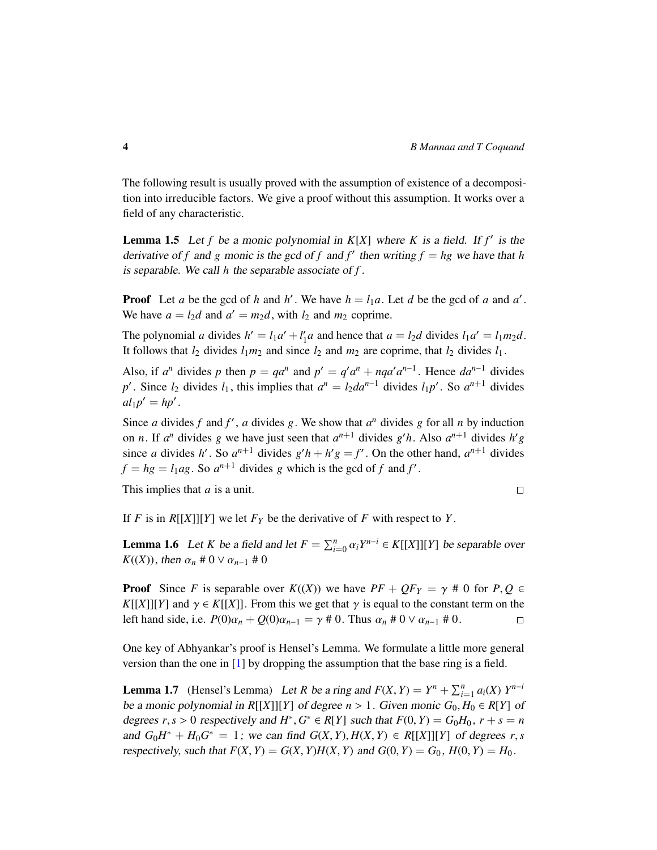The following result is usually proved with the assumption of existence of a decomposition into irreducible factors. We give a proof without this assumption. It works over a field of any characteristic.

<span id="page-3-2"></span>**Lemma 1.5** Let *f* be a monic polynomial in  $K[X]$  where *K* is a field. If *f'* is the derivative of *f* and *g* monic is the gcd of *f* and *f'* then writing  $f = hg$  we have that *h* is separable. We call *h* the separable associate of *f* .

**Proof** Let *a* be the gcd of *h* and *h*<sup> $\prime$ </sup>. We have  $h = l_1 a$ . Let *d* be the gcd of *a* and *a*<sup> $\prime$ </sup>. We have  $a = l_2d$  and  $a' = m_2d$ , with  $l_2$  and  $m_2$  coprime.

The polynomial *a* divides  $h' = l_1 a' + l'_1$  $I_1^{\prime}a$  and hence that  $a = l_2d$  divides  $l_1a^{\prime} = l_1m_2d$ . It follows that  $l_2$  divides  $l_1m_2$  and since  $l_2$  and  $m_2$  are coprime, that  $l_2$  divides  $l_1$ .

Also, if  $a^n$  divides p then  $p = qa^n$  and  $p' = q' a^n + nqa' a^{n-1}$ . Hence  $da^{n-1}$  divides *p*<sup> $\prime$ </sup>. Since *l*<sub>2</sub> divides *l*<sub>1</sub>, this implies that  $a^n = l_2 da^{n-1}$  divides *l*<sub>1</sub>*p*<sup> $\prime$ </sup>. So  $a^{n+1}$  divides  $al_1p' = hp'$ .

Since *a* divides *f* and *f'*, *a* divides *g*. We show that  $a^n$  divides *g* for all *n* by induction on *n*. If  $a^n$  divides *g* we have just seen that  $a^{n+1}$  divides *g'h*. Also  $a^{n+1}$  divides  $h'g$ since *a* divides *h'*. So  $a^{n+1}$  divides  $g'h + h'g = f'$ . On the other hand,  $a^{n+1}$  divides  $f = hg = l_1ag$ . So  $a^{n+1}$  divides *g* which is the gcd of *f* and *f'*.

This implies that *a* is a unit.

$$
\Box
$$

If *F* is in  $R[[X]][Y]$  we let  $F_Y$  be the derivative of *F* with respect to *Y*.

<span id="page-3-1"></span>**Lemma 1.6** Let *K* be a field and let  $F = \sum_{i=0}^{n} \alpha_i Y^{n-i} \in K[[X]][Y]$  be separable over  $K((X))$  then  $\alpha + 0 \vee \alpha = \pm 0$ *K*((*X*)), then  $\alpha_n \neq 0 \vee \alpha_{n-1} \neq 0$ 

**Proof** Since *F* is separable over  $K((X))$  we have  $PF + QF_Y = \gamma \neq 0$  for  $P, Q \in$ *K*[[*X*]][*Y*] and  $\gamma \in K$ [[*X*]]. From this we get that  $\gamma$  is equal to the constant term on the left hand side, i.e.  $P(0)\alpha_n + Q(0)\alpha_{n-1} = \gamma \neq 0$ . Thus  $\alpha_n \neq 0 \vee \alpha_{n-1} \neq 0$ . left hand side, i.e.  $P(0)\alpha_n + Q(0)\alpha_{n-1} = \gamma \neq 0$ . Thus  $\alpha_n \neq 0 \vee \alpha_{n-1} \neq 0$ .

One key of Abhyankar's proof is Hensel's Lemma. We formulate a little more general version than the one in [\[1\]](#page-21-3) by dropping the assumption that the base ring is a field.

<span id="page-3-0"></span>**Lemma 1.7** (Hensel's Lemma) Let *R* be a ring and  $F(X, Y) = Y^n + \sum_{i=1}^n a_i(X) Y^{n-i}$ <br>be a monic polynomial in PUVULVI of degree  $n > 1$ . Given monic  $G, H \in P[V]$  of be a monic polynomial in  $R[[X]][Y]$  of degree  $n > 1$ . Given monic  $G_0, H_0 \in R[Y]$  of degrees  $r, s > 0$  respectively and  $H^*, G^* \in R[Y]$  such that  $F(0, Y) = G_0H_0$ ,  $r + s = n$ <br>and  $G, H^* + H, G^* = 1$ ; we can find  $G(Y, Y)$ ,  $H(Y, Y) \subset R[Y]$  will via of degrees  $r, s$ and  $G_0H^* + H_0G^* = 1$ ; we can find  $G(X, Y), H(X, Y) \in R[[X]][Y]$  of degrees *r*, *s* respectively such that  $F(Y, Y) = G(Y, Y)H(Y, Y)$  and  $G(0, Y) = G$ .  $H(0, Y) = H$ . respectively, such that  $F(X, Y) = G(X, Y)H(X, Y)$  and  $G(0, Y) = G_0$ ,  $H(0, Y) = H_0$ .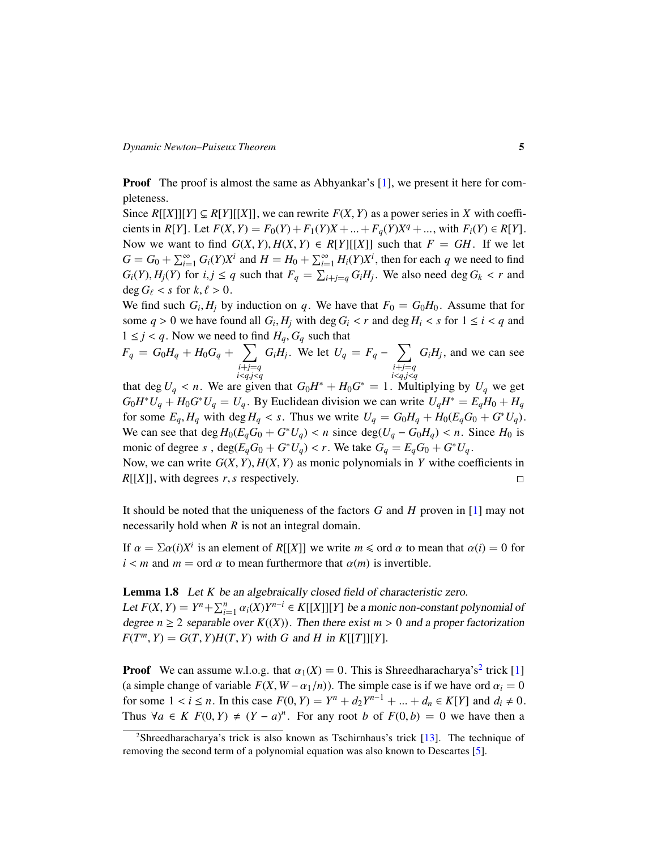**Proof** The proof is almost the same as Abhyankar's [\[1\]](#page-21-3), we present it here for completeness.

Since  $R[[X]][Y] \subseteq R[Y][[X]]$ , we can rewrite  $F(X, Y)$  as a power series in X with coefficients in *R*[*Y*]. Let  $F(X, Y) = F_0(Y) + F_1(Y)X + \ldots + F_q(Y)X^q + \ldots$ , with  $F_i(Y) \in R[Y]$ .<br>Now we went to find  $G(Y, Y)$ ,  $H(Y, Y) \subset R[Y]$ . we that  $F = GH$ . If we let Now we want to find  $G(X, Y), H(X, Y) \in R[Y][[X]]$  such that  $F = GH$ . If we let  $G = G_0 + \sum_{i=1}^{\infty} G_i(Y)X^i$  and  $H = H_0 + \sum_{i=1}^{\infty} H_i(Y)X^i$ , then for each *q* we need to find  $G_i(Y), H_j(Y)$  for  $i, j \le q$  such that  $F_q = \sum_{i+j=q} G_i H_j$ . We also need deg  $G_k < r$  and dog  $G_k < r$  for  $k \ne s \ge 0$  $\deg G_{\ell} < s$  for  $k, \ell > 0$ .

We find such  $G_i$ ,  $H_j$  by induction on *q*. We have that  $F_0 = G_0H_0$ . Assume that for some *a* > 0 we have found all  $G_1$ ,  $H_1$  with dog  $G_2 \le r$  and dog  $H_1 \le s$  for  $1 \le i \le a$  and some  $q > 0$  we have found all  $G_i$ ,  $H_j$  with deg  $G_i < r$  and deg  $H_i < s$  for  $1 \le i < q$  and  $1 < i < a$ . Now we need to find  $H_G$  with the strain  $G_i$  $1 \leq j \leq q$ . Now we need to find  $H_q$ ,  $G_q$  such that

$$
F_q = G_0 H_q + H_0 G_q + \sum_{\substack{i+j=q\\i. We let  $U_q = F_q - \sum_{\substack{i+j=q\\i, and we can see that  $\deg U \le r$ . We prove that  $G_0 H^* + H_0 G^* = 1$ . Multiplying by  $U$ , we get$
$$

that deg *U<sub>q</sub>* < *n*. We are given that  $G_0H^* + H_0G^* = 1$ . Multiplying by *U<sub>q</sub>* we get  $G_2H^*H = H_1H_2G^*H = H_1H_2$  By Euclidean division we can write *U*<sub>*H*</sub><sup>W</sup> = *E H*<sub>2</sub> + *H*<sub>2</sub>  $G_0 H^* U_q + H_0 G^* U_q = U_q$ . By Euclidean division we can write  $U_q H^* = E_q H_0 + H_q$ for some  $E_q$ ,  $H_q$  with deg  $H_q < s$ . Thus we write  $U_q = G_0 H_q + H_0 (E_q G_0 + G^* U_q)$ .<br>We see see that deg  $H_q(E_q G_q + G^* U_q) \leq r$  since deg(*U*  $G_q H_q \leq r$ , Since  $H_q$  is We can see that  $\deg H_0(E_q G_0 + G^* U_q) < n$  since  $\deg(U_q - G_0 H_q) < n$ . Since  $H_0$  is monic of degree  $g$ ,  $\deg(E_q G_0 + G^* U_q) < n$ . We take  $G_q = E_q G_q + G^* U_q$ monic of degree *s*,  $\deg(E_qG_0 + G^*U_q) < r$ . We take  $G_q = E_qG_0 + G^*U_q$ .<br>Now we get write  $G(Y, Y)$ ,  $H(Y, Y)$  as monic polynomials in *Y* with ago

Now, we can write  $G(X, Y), H(X, Y)$  as monic polynomials in *Y* withe coefficients in  $R[[X]]$ , with degrees *r*, *s* respectively.  $R[[X]]$ , with degrees *r*, *s* respectively.

It should be noted that the uniqueness of the factors *G* and *H* proven in [\[1\]](#page-21-3) may not necessarily hold when *R* is not an integral domain.

If  $\alpha = \sum \alpha(i)X^i$  is an element of *R*[[*X*]] we write  $m \leq \text{ord } \alpha$  to mean that  $\alpha(i) = 0$  for  $i < m$  and  $m = \text{ord } \alpha$  to mean furthermore that  $\alpha(m)$  is invertible.

#### <span id="page-4-1"></span>Lemma 1.8 Let *K* be an algebraically closed field of characteristic zero.

Let  $F(X, Y) = Y^n + \sum_{i=1}^n \alpha_i(X)Y^{n-i} \in K[[X]][Y]$  be a monic non-constant polynomial of degree  $n > 2$  congrable over  $F((Y))$ . Then there exist  $m > 0$  and a proper fectorization degree  $n \geq 2$  separable over  $K((X))$ . Then there exist  $m > 0$  and a proper factorization  $F(T^m, Y) = G(T, Y)H(T, Y)$  with *G* and *H* in *K*[[*T*]][*Y*].

**Proof** We can assume w.l.o.g. that  $\alpha_1(X) = 0$ . This is Shreedharacharya's<sup>[2](#page-4-0)</sup> trick [\[1\]](#page-21-3) (a simple change of variable  $F(X, W - \alpha_1/n)$ ). The simple case is if we have ord  $\alpha_i = 0$ for some 1 < *i* ≤ *n*. In this case  $F(0, Y) = Y^n + d_2Y^{n-1} + ... + d_n ∈ K[Y]$  and  $d_i ≠ 0$ .<br>Thus  $\forall a \in K$   $F(0, Y) + (Y - a)^n$ . For any root *b* of  $F(0, b) = 0$  we have then a Thus  $\forall a \in K$   $F(0, Y) \neq (Y - a)^n$ . For any root *b* of  $F(0, b) = 0$  we have then a

<span id="page-4-0"></span><sup>2</sup>Shreedharacharya's trick is also known as Tschirnhaus's trick [\[13\]](#page-21-11). The technique of removing the second term of a polynomial equation was also known to Descartes [\[5\]](#page-21-12).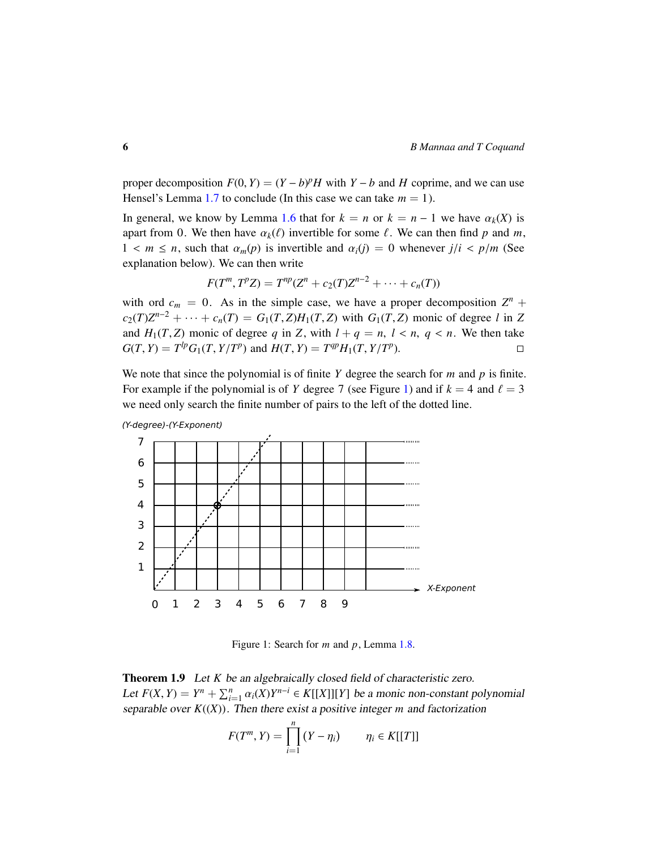proper decomposition  $F(0, Y) = (Y - b)^p H$  with  $Y - b$  and  $H$  coprime, and we can use Hangel's Lamma 1.7 to conclude (In this case we can take  $m = 1$ ) Hensel's Lemma [1.7](#page-3-0) to conclude (In this case we can take  $m = 1$ ).

In general, we know by Lemma [1.6](#page-3-1) that for  $k = n$  or  $k = n - 1$  we have  $\alpha_k(X)$  is apart from 0. We then have  $\alpha_k(\ell)$  invertible for some  $\ell$ . We can then find p and m,  $1 \le m \le n$ , such that  $\alpha_m(p)$  is invertible and  $\alpha_i(j) = 0$  whenever  $j/i \le p/m$  (See explanation below). We can then write

$$
F(T^m, T^p Z) = T^{np}(Z^n + c_2(T)Z^{n-2} + \cdots + c_n(T))
$$

with ord  $c_m = 0$ . As in the simple case, we have a proper decomposition  $Z^n$  +  $c_2(T)Z^{n-2} + \cdots + c_n(T) = G_1(T, Z)H_1(T, Z)$  with  $G_1(T, Z)$  monic of degree *l* in *Z*<br>and *H* (*T*, *Z*) monic of degree *g* in *Z*, with *L*  $\vdash q = r, l \leq r, q \leq r$ . We then take and  $H_1(T, Z)$  monic of degree *q* in *Z*, with  $l + q = n$ ,  $l < n$ ,  $q < n$ . We then take  $G(T, Y) = T^{lp}G_1(T, Y/T^p)$  and  $H(T, Y) = T^{qp}H_1(T, Y/T^p)$ .  $G(T, Y) = T^{lp}G_1(T, Y/T^p)$  and  $H(T, Y) = T^{qp}H_1(T, Y/T^p)$ .

We note that since the polynomial is of finite *Y* degree the search for *m* and *p* is finite. For example if the polynomial is of *Y* degree 7 (see Figure [1\)](#page-4-1) and if  $k = 4$  and  $\ell = 3$ we need only search the finite number of pairs to the left of the dotted line.



(Y-degree)-(Y-Exponent)

Figure 1: Search for *m* and *p*, Lemma [1.8.](#page-4-1)

<span id="page-5-0"></span>Theorem 1.9 Let *K* be an algebraically closed field of characteristic zero. Let  $F(X, Y) = Y^n + \sum_{i=1}^n \alpha_i(X)Y^{n-i} \in K[[X]][Y]$  be a monic non-constant polynomial concrete to  $W(X)$ . Then there exist a positive integer  $m$  and fectorization separable over  $K((X))$ . Then there exist a positive integer *m* and factorization

$$
F(T^m, Y) = \prod_{i=1}^n (Y - \eta_i) \qquad \eta_i \in K[[T]]
$$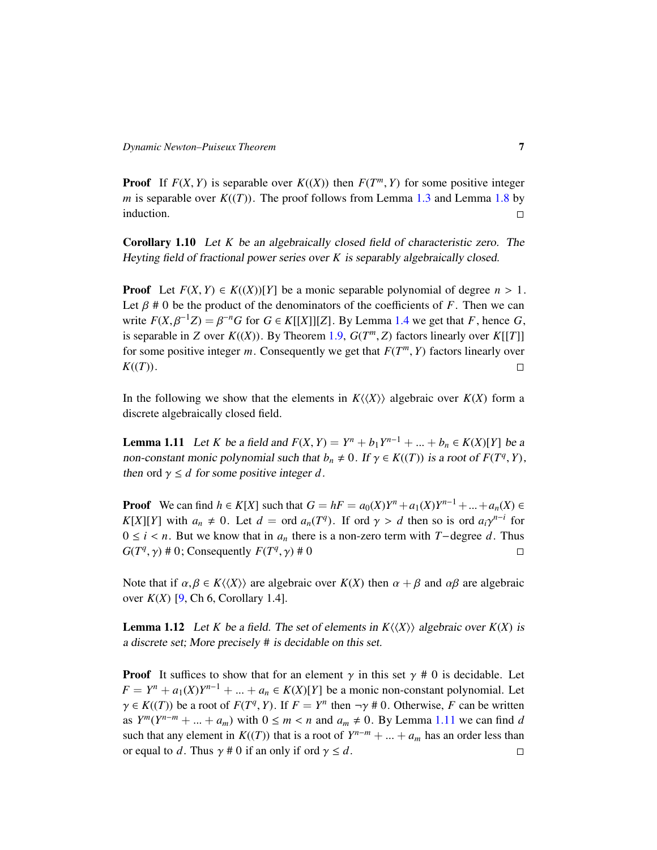**Proof** If  $F(X, Y)$  is separable over  $K((X))$  then  $F(T^m, Y)$  for some positive integer *m* is separable over  $K((T))$ . The proof follows from Lamma 1.3 and Lamma 1.8 by *m* is separable over  $K((T))$ . The proof follows from Lemma [1.3](#page-2-0) and Lemma [1.8](#page-4-1) by induction.  $\Box$ 

<span id="page-6-2"></span>Corollary 1.10 Let *K* be an algebraically closed field of characteristic zero. The Heyting field of fractional power series over *K* is separably algebraically closed.

**Proof** Let  $F(X, Y) \in K((X))[Y]$  be a monic separable polynomial of degree  $n > 1$ . Let  $\beta \neq 0$  be the product of the denominators of the coefficients of *F*. Then we can write  $F(X, \beta^{-1}Z) = \beta^{-n}G$  for  $G \in K[[X]][Z]$ . By Lemma [1.4](#page-2-1) we get that *F*, hence *G*, is senarchly in *Z* ever  $F((X))$ . By Theorem 1.0,  $G(T^m, Z)$  fectors linearly over  $F([T])$ is separable in *Z* over  $K((X))$ . By Theorem [1.9,](#page-5-0)  $G(T^m, Z)$  factors linearly over  $K[[T]]$ <br>for some positive integer *m*. Consequently we get that  $E(T^m, V)$  factors linearly over for some positive integer *m*. Consequently we get that  $F(T^m, Y)$  factors linearly over  $F(T^m)$  $K((T)).$ 

In the following we show that the elements in  $K\langle\langle X\rangle\rangle$  algebraic over  $K(X)$  form a discrete algebraically closed field.

<span id="page-6-0"></span>**Lemma 1.11** Let *K* be a field and  $F(X, Y) = Y^n + b_1 Y^{n-1} + ... + b_n \in K(X)[Y]$  be a non-constant monic polynomial such that  $b_1 \neq 0$ , If  $\alpha \in K((T))$  is a root of  $F(T^q, Y)$ non-constant monic polynomial such that  $b_n \neq 0$ . If  $\gamma \in K((T))$  is a root of  $F(T^q, Y)$ , then ord  $\alpha \leq d$  for some positive integer d then ord  $\gamma \leq d$  for some positive integer d.

**Proof** We can find  $h \in K[X]$  such that  $G = hF = a_0(X)Y^n + a_1(X)Y^{n-1} + ... + a_n(X) \in K[Y]$ <br>*K*[*X*] with  $g \neq 0$ . Let  $d = \text{ord } g$  (*T<sup>a</sup>*). If exists  $d$  then so is existent  $g \circ f^{-1}$  for *K*[*X*][*Y*] with  $a_n \neq 0$ . Let  $d = \text{ord } a_n(T^q)$ . If ord  $\gamma > d$  then so is ord  $a_i \gamma^{n-i}$  for  $0 \leq i \leq n$ . But we know that in a there is a non-zero term with  $T$  degree  $d$ . Thus  $0 \le i < n$ . But we know that in  $a_n$  there is a non-zero term with *T*−degree *d*. Thus  $G(T^q, \gamma) \# 0$ : Consequently  $F(T^q, \gamma) \# 0$  $G(T^q, \gamma) \neq 0$ ; Consequently  $F(T^q, \gamma) \neq 0$ 

Note that if  $\alpha, \beta \in K\langle\langle X \rangle\rangle$  are algebraic over  $K(X)$  then  $\alpha + \beta$  and  $\alpha\beta$  are algebraic over *K*(*X*) [\[9,](#page-21-6) Ch 6, Corollary 1.4].

<span id="page-6-1"></span>**Lemma 1.12** Let *K* be a field. The set of elements in  $K\langle\langle X \rangle\rangle$  algebraic over  $K(X)$  is a discrete set; More precisely # is decidable on this set.

**Proof** It suffices to show that for an element  $\gamma$  in this set  $\gamma \neq 0$  is decidable. Let  $F = Y^n + a_1(X)Y^{n-1} + ... + a_n \in K(X)[Y]$  be a monic non-constant polynomial. Let  $\alpha \in K((T))$  be a root of  $F(T^q, V)$ . If  $F = Y^n$  then  $-\alpha t \neq 0$ . Otherwise, F can be written  $\gamma \in K((T))$  be a root of  $F(T^q, Y)$ . If  $F = Y^n$  then  $\neg \gamma \neq 0$ . Otherwise, *F* can be written as  $Y^m(Y^{n-m} + ... + a_m)$  with  $0 \le m < n$  and  $a_m \ne 0$ . By Lemma [1.11](#page-6-0) we can find *d* such that any element in  $K((T))$  that is a reat of  $Y^{n-m} + ... + a_n$  has an order less than such that any element in  $K((T))$  that is a root of  $Y^{n-m} + \dots + a_m$  has an order less than or equal to *d*. Thus  $\gamma \neq 0$  if an only if ord  $\gamma \leq d$ .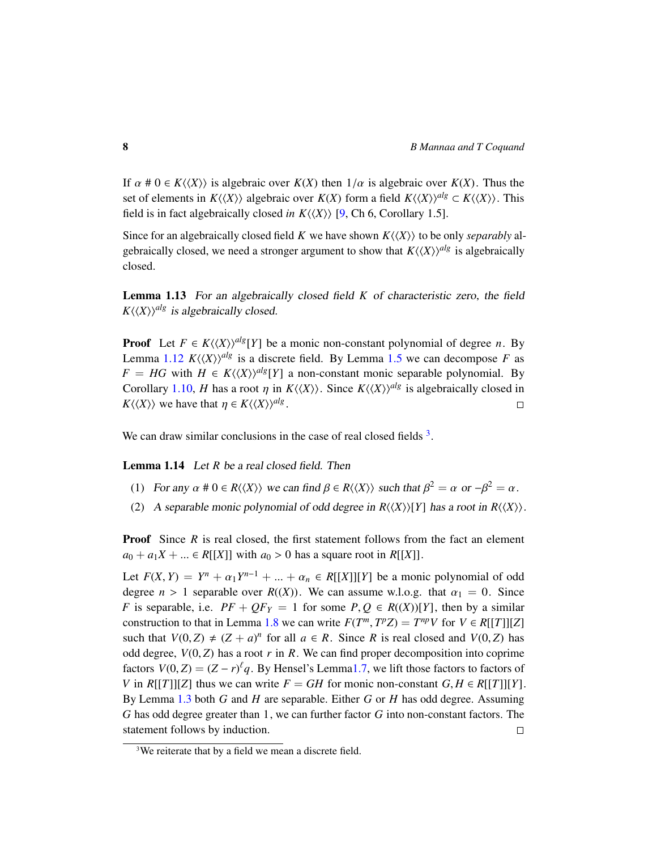If  $\alpha \neq 0 \in K\langle\langle X \rangle\rangle$  is algebraic over  $K(X)$  then  $1/\alpha$  is algebraic over  $K(X)$ . Thus the set of elements in  $K\langle\langle X\rangle\rangle$  algebraic over  $K(X)$  form a field  $K\langle\langle X\rangle\rangle^{alg} \subset K\langle\langle X\rangle\rangle$ . This field is in fact algebraically closed *in*  $K\langle\langle X \rangle\rangle$  [\[9,](#page-21-6) Ch 6, Corollary 1.5].

Since for an algebraically closed field *K* we have shown  $K\langle\langle X\rangle\rangle$  to be only *separably* algebraically closed, we need a stronger argument to show that  $K\langle\langle X\rangle\rangle^{alg}$  is algebraically closed.

Lemma 1.13 For an algebraically closed field *K* of characteristic zero, the field  $K\langle\langle X\rangle\rangle^{alg}$  is algebraically closed.

**Proof** Let  $F \in K\langle\langle X \rangle\rangle^{alg}[Y]$  be a monic non-constant polynomial of degree *n*. By Lemma [1.12](#page-6-1)  $K(\langle X \rangle)^{alg}$  is a discrete field. By Lemma [1.5](#page-3-2) we can decompose *F* as  $F = HG$  with  $H \in K \langle \langle X \rangle \rangle^{alg}[Y]$  a non-constant monic separable polynomial. By Corollary [1.10,](#page-6-2) *H* has a root  $\eta$  in  $K\langle\langle X \rangle\rangle$ . Since  $K\langle\langle X \rangle\rangle^{alg}$  is algebraically closed in  $K(\langle X \rangle)$  we have that  $\eta \in K(\langle X \rangle)^{alg}$ .  $K\langle\langle X\rangle\rangle$  we have that  $\eta \in K\langle\langle X\rangle\rangle^{alg}$ .

We can draw similar conclusions in the case of real closed fields  $3$ .

<span id="page-7-1"></span>Lemma 1.14 Let *R* be a real closed field. Then

- (1) For any  $\alpha \neq 0 \in R\langle\langle X \rangle\rangle$  we can find  $\beta \in R\langle\langle X \rangle\rangle$  such that  $\beta^2 = \alpha$  or  $-\beta^2 = \alpha$ .
- (2) A separable monic polynomial of odd degree in  $R\langle\langle X\rangle\rangle[Y]$  has a root in  $R\langle\langle X\rangle\rangle$ .

**Proof** Since *R* is real closed, the first statement follows from the fact an element  $a_0 + a_1X + ... \in R[[X]]$  with  $a_0 > 0$  has a square root in  $R[[X]]$ .

Let  $F(X, Y) = Y^n + \alpha_1 Y^{n-1} + \dots + \alpha_n \in R[[X]][Y]$  be a monic polynomial of odd<br>degree  $n > 1$  seperable over  $P((Y))$ . We see assume  $T \cdot 1 \cdot 2 \cdot 5$ , that  $\alpha_n = 0$ . Since degree  $n > 1$  separable over  $R((X))$ . We can assume w.l.o.g. that  $\alpha_1 = 0$ . Since *F* is separable, i.e.  $PF + QF_Y = 1$  for some  $P, Q \in R((X))[Y]$ , then by a similar construction to that in Lemma [1.8](#page-4-1) we can write  $F(T^m, T^pZ) = T^{np}V$  for  $V \in R[[T]][Z]$ <br>such that  $V(0, Z) \neq (Z + a)^n$  for all  $a \in R$ . Since *P* is real closed and  $V(0, Z)$  has such that  $V(0, Z) \neq (Z + a)^n$  for all  $a \in R$ . Since *R* is real closed and  $V(0, Z)$  has odd degree,  $V(0, Z)$  has a root  $r$  in  $R$ . We can find proper decomposition into coprime factors  $V(0, Z) = (Z - r)^{\ell} q$ . By Hensel's Lemm[a1.7,](#page-3-0) we lift those factors to factors of  $V$  in  $P[TT11Z]$  thus we can write  $F = GH$  for monic non-constant  $G, H \in P[TT11V]$ *V* in *R*[[*T*]][*Z*] thus we can write  $F = GH$  for monic non-constant  $G, H \in R[[T]][Y]$ . By Lemma [1.3](#page-2-0) both *G* and *H* are separable. Either *G* or *H* has odd degree. Assuming *G* has odd degree greater than 1, we can further factor *G* into non-constant factors. The statement follows by induction.  $\Box$ 

<span id="page-7-0"></span><sup>&</sup>lt;sup>3</sup>We reiterate that by a field we mean a discrete field.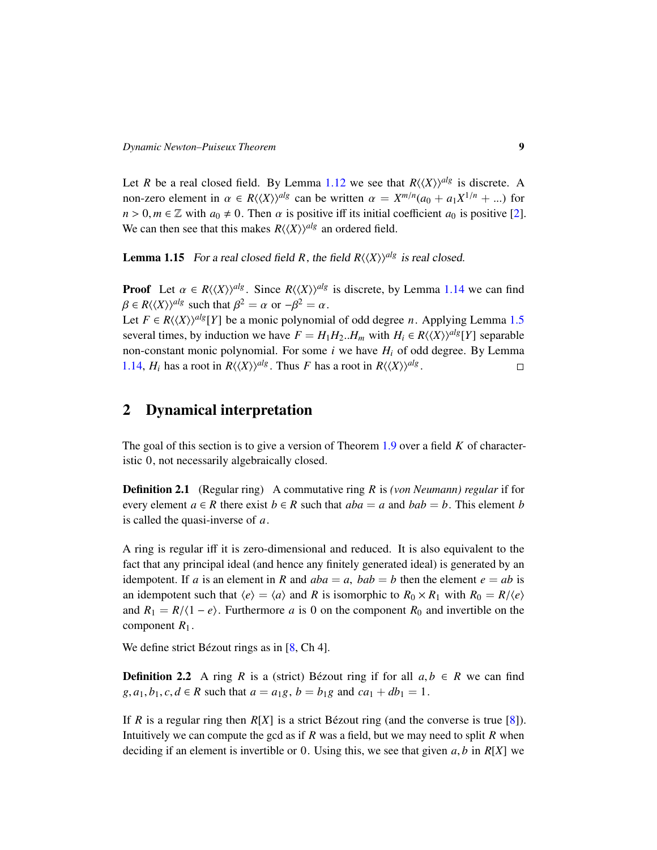Let *R* be a real closed field. By Lemma [1.12](#page-6-1) we see that  $R\langle\langle X\rangle\rangle^{alg}$  is discrete. A non-zero element in  $\alpha \in R\langle\langle X \rangle\rangle^{alg}$  can be written  $\alpha = X^{m/n}(a_0 + a_1X^{1/n} + ...)$  for  $n > 0, m \in \mathbb{Z}$  with  $a_0 \neq 0$ . Then  $\alpha$  is positive iff its initial coefficient  $a_0$  is positive [\[2\]](#page-21-13). We can then see that this makes  $R\langle\langle X\rangle\rangle^{alg}$  an ordered field.

**Lemma 1.15** For a real closed field R, the field  $R(\langle X \rangle)^{alg}$  is real closed.

**Proof** Let  $\alpha \in R\langle\langle X\rangle\rangle^{alg}$ . Since  $R\langle\langle X\rangle\rangle^{alg}$  is discrete, by Lemma [1.14](#page-7-1) we can find  $\beta \in R\langle \langle X \rangle \rangle^{alg}$  such that  $\beta^2 = \alpha$  or  $-\beta^2 = \alpha$ .<br>Let  $E \subseteq B\ell\langle X \rangle^{alg}$  be a monic polynomic

Let *F* ∈ *R* $\langle \langle X \rangle \rangle$ <sup>*alg*</sup>[*Y*] be a monic polynomial of odd degree *n*. Applying Lemma [1.5](#page-3-2) several times, by induction we have  $F = H_1 H_2$ .  $H_m$  with  $H_i \in R \langle \langle X \rangle \rangle^{alg}[Y]$  separable non-constant monic polynomial. For some *i* we have *H<sup>i</sup>* of odd degree. By Lemma [1.14,](#page-7-1) *H<sub>i</sub>* has a root in  $R\langle\langle X\rangle\rangle^{alg}$ . Thus *F* has a root in  $R\langle\langle X\rangle\rangle^{alg}$ .  $\Box$ 

### 2 Dynamical interpretation

The goal of this section is to give a version of Theorem [1.9](#page-5-0) over a field *K* of characteristic 0, not necessarily algebraically closed.

Definition 2.1 (Regular ring) A commutative ring *R* is *(von Neumann) regular* if for every element  $a \in R$  there exist  $b \in R$  such that  $aba = a$  and  $bab = b$ . This element *b* is called the quasi-inverse of *a*.

A ring is regular iff it is zero-dimensional and reduced. It is also equivalent to the fact that any principal ideal (and hence any finitely generated ideal) is generated by an idempotent. If *a* is an element in *R* and  $aba = a$ ,  $bab = b$  then the element  $e = ab$  is an idempotent such that  $\langle e \rangle = \langle a \rangle$  and *R* is isomorphic to  $R_0 \times R_1$  with  $R_0 = R/\langle e \rangle$ and  $R_1 = R/(1 - e)$ . Furthermore *a* is 0 on the component  $R_0$  and invertible on the component  $R_1$ .

We define strict Bézout rings as in  $[8, Ch 4]$  $[8, Ch 4]$  $[8, Ch 4]$ .

**Definition 2.2** A ring *R* is a (strict) Bézout ring if for all  $a, b \in R$  we can find *g*,  $a_1, b_1, c, d \in R$  such that  $a = a_1g, b = b_1g$  and  $ca_1 + db_1 = 1$ .

If *R* is a regular ring then  $R[X]$  is a strict Bézout ring (and the converse is true [[8\]](#page-21-7)). Intuitively we can compute the gcd as if *R* was a field, but we may need to split *R* when deciding if an element is invertible or 0. Using this, we see that given  $a, b$  in  $R[X]$  we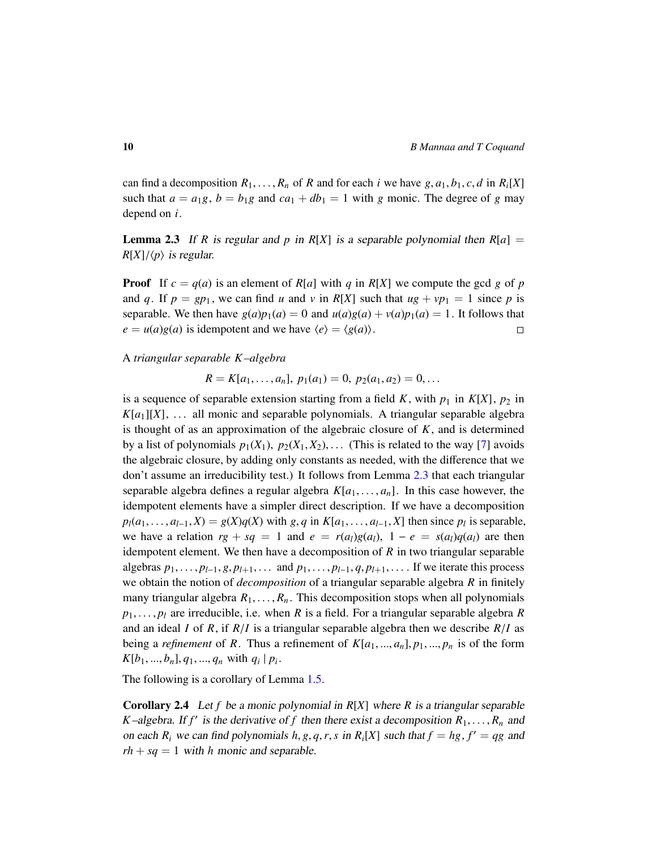can find a decomposition  $R_1, \ldots, R_n$  of *R* and for each *i* we have  $g, a_1, b_1, c, d$  in  $R_i[X]$ such that  $a = a_1g$ ,  $b = b_1g$  and  $ca_1 + db_1 = 1$  with g monic. The degree of g may depend on *i*.

<span id="page-9-0"></span>**Lemma 2.3** If *R* is regular and *p* in  $R[X]$  is a separable polynomial then  $R[a]$  =  $R[X]/\langle p \rangle$  is regular.

**Proof** If  $c = q(a)$  is an element of  $R[a]$  with  $q$  in  $R[X]$  we compute the gcd  $g$  of  $p$ and *q*. If  $p = gp_1$ , we can find *u* and *v* in  $R[X]$  such that  $ug + vp_1 = 1$  since *p* is separable. We then have  $g(a)p_1(a) = 0$  and  $u(a)g(a) + v(a)p_1(a) = 1$ . It follows that  $e = u(a)g(a)$  is idempotent and we have  $\langle e \rangle = \langle g(a) \rangle$ .  $\Box$ 

A *triangular separable K–algebra*

 $R = K[a_1, \ldots, a_n], p_1(a_1) = 0, p_2(a_1, a_2) = 0, \ldots$ 

is a sequence of separable extension starting from a field K, with  $p_1$  in  $K[X]$ ,  $p_2$  in  $K[a_1][X], \ldots$  all monic and separable polynomials. A triangular separable algebra is thought of as an approximation of the algebraic closure of *K*, and is determined by a list of polynomials  $p_1(X_1), p_2(X_1, X_2), \ldots$  (This is related to the way [\[7\]](#page-21-5) avoids the algebraic closure, by adding only constants as needed, with the difference that we don't assume an irreducibility test.) It follows from Lemma [2.3](#page-9-0) that each triangular separable algebra defines a regular algebra  $K[a_1, \ldots, a_n]$ . In this case however, the idempotent elements have a simpler direct description. If we have a decomposition  $p_l(a_1, \ldots, a_{l-1}, X) = g(X)q(X)$  with  $g, q$  in  $K[a_1, \ldots, a_{l-1}, X]$  then since  $p_l$  is separable,<br>we have a relation  $x \perp ss = 1$  and  $s = x(a)g(a) \perp ts = g(a)g(a)$  are then we have a relation  $rg + sq = 1$  and  $e = r(a_l)g(a_l)$ ,  $1 - e = s(a_l)q(a_l)$  are then idempotent element. We then have a decomposition of *R* in two triangular separable algebras  $p_1, \ldots, p_{l-1}, g, p_{l+1}, \ldots$  and  $p_1, \ldots, p_{l-1}, q, p_{l+1}, \ldots$  If we iterate this process we obtain the notion of *decomposition* of a triangular separable algebra *R* in finitely many triangular algebra  $R_1, \ldots, R_n$ . This decomposition stops when all polynomials  $p_1, \ldots, p_l$  are irreducible, i.e. when *R* is a field. For a triangular separable algebra *R* and an ideal *<sup>I</sup>* of *<sup>R</sup>*, if *<sup>R</sup>*/*<sup>I</sup>* is a triangular separable algebra then we describe *<sup>R</sup>*/*<sup>I</sup>* as being a *refinement* of *R*. Thus a refinement of  $K[a_1, ..., a_n], p_1, ..., p_n$  is of the form  $K[b_1, ..., b_n], q_1, ..., q_n$  with  $q_i | p_i$ .

The following is a corollary of Lemma [1.5.](#page-3-2)

Corollary 2.4 Let *f* be a monic polynomial in *R*[*X*] where *R* is a triangular separable *K*–algebra. If *f*<sup> $\prime$ </sup> is the derivative of *f* then there exist a decomposition  $R_1, \ldots, R_n$  and on each **P**<sub>*N*</sub> we can find polynomials *h*<sub>0</sub> *a*<sub>*n*</sub> *s*<sub>*n*</sub> **i**<sub>*n*</sub> B<sub>*N*</sub> *V*<sub>*l*</sub> and *k*<sub>*h*</sub> *f*<sub>*l*</sub> *h*<sub>*n*</sub> on each  $R_i$  we can find polynomials  $h, g, q, r, s$  in  $R_i[X]$  such that  $f = hg, f' = qg$  and  $xh + sg = 1$  with  $k$  monic and soperable.  $rh + sq = 1$  with *h* monic and separable.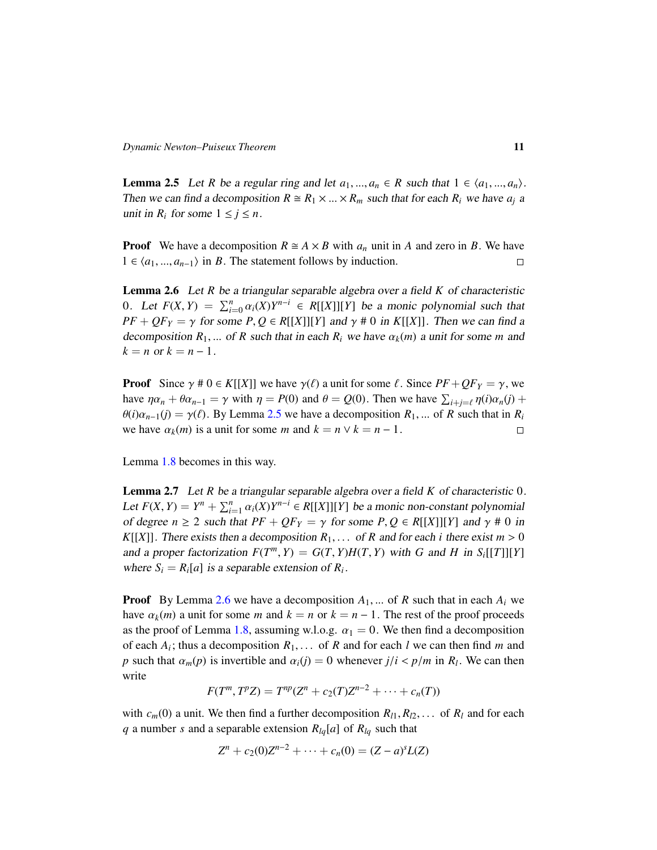<span id="page-10-0"></span>**Lemma 2.5** Let *R* be a regular ring and let  $a_1, ..., a_n \in R$  such that  $1 \in \langle a_1, ..., a_n \rangle$ . Then we can find a decomposition  $R \cong R_1 \times ... \times R_m$  such that for each  $R_i$  we have  $a_i$  a unit in  $R_i$  for some  $1 \leq j \leq n$ .

**Proof** We have a decomposition  $R \cong A \times B$  with  $a_n$  unit in A and zero in B. We have  $1 ∈ \langle a_1, ..., a_{n-1} \rangle$  in *B*. The statement follows by induction.  $\Box$ 

<span id="page-10-1"></span>Lemma 2.6 Let *R* be a triangular separable algebra over a field *K* of characteristic 0. Let  $F(X, Y) = \sum_{i=0}^{n} \alpha_i(X)Y^{n-i} \in R[[X]][Y]$  be a monic polynomial such that  $P_F + QF_T = \alpha$  for some *P*,  $Q \in P[[X][Y]$  and  $\alpha \neq 0$  in  $F[[X]]$ . Then we can find a  $PF + QF_Y = \gamma$  for some  $P, Q \in R[[X]][Y]$  and  $\gamma \neq 0$  in  $K[[X]]$ . Then we can find a decomposition  $R_1$ , ... of  $R$  such that in each  $R_i$  we have  $\alpha_k(m)$  a unit for some *m* and  $k = n$  or  $k = n - 1$ .

**Proof** Since  $\gamma \neq 0 \in K[[X]]$  we have  $\gamma(\ell)$  a unit for some  $\ell$ . Since  $PF + QF_Y = \gamma$ , we have  $\eta \alpha_n + \theta \alpha_{n-1} = \gamma$  with  $\eta = P(0)$  and  $\theta = Q(0)$ . Then we have  $\sum_{i+j=\ell} \eta(i) \alpha_n(j) +$ <br> $\theta(i) \alpha_{n-1}(i) = \alpha(\ell)$ . By Lamma 2.5 we have a decomposition  $P_i$ , of P such that in  $P_i$ .  $\theta(i)\alpha_{n-1}(j) = \gamma(\ell)$ . By Lemma [2.5](#page-10-0) we have a decomposition  $R_1, ...$  of  $R$  such that in  $R_i$  we have  $\alpha_k(m)$  is a unit for some  $m$  and  $k = n \vee k = n - 1$ . we have  $\alpha_k(m)$  is a unit for some *m* and  $k = n \vee k = n - 1$ .

Lemma [1.8](#page-4-1) becomes in this way.

<span id="page-10-2"></span>Lemma 2.7 Let *R* be a triangular separable algebra over a field *K* of characteristic 0. Let  $F(X, Y) = Y^n + \sum_{i=1}^n \alpha_i(X)Y^{n-i} \in R[[X]][Y]$  be a monic non-constant polynomial<br>of dogram  $\geq 2$  such that  $PE + OE = \alpha$  for some  $P.O \subseteq P[[Y][V]$  and  $\alpha \neq 0$  in of degree  $n \ge 2$  such that  $PF + QF_Y = \gamma$  for some  $P, Q \in R[[X]][Y]$  and  $\gamma \ne 0$  in *K*[[*X*]]. There exists then a decomposition  $R_1$ ,... of *R* and for each *i* there exist  $m > 0$ and a proper factorization  $F(T^m, Y) = G(T, Y)H(T, Y)$  with *G* and *H* in  $S_i[[T]][Y]$ <br>where  $S = P$  [a] is a seperable extension of *P*. where  $S_i = R_i[a]$  is a separable extension of  $R_i$ .

**Proof** By Lemma [2.6](#page-10-1) we have a decomposition  $A_1$ , ... of *R* such that in each  $A_i$  we have  $\alpha_k(m)$  a unit for some *m* and  $k = n$  or  $k = n - 1$ . The rest of the proof proceeds as the proof of Lemma [1.8,](#page-4-1) assuming w.l.o.g.  $\alpha_1 = 0$ . We then find a decomposition of each  $A_i$ ; thus a decomposition  $R_1, \ldots$  of  $R$  and for each  $l$  we can then find  $m$  and  $n$  such that  $\alpha_i$  (n) is invertible and  $\alpha_i(i) = 0$  whenever  $i/i \le n/m$  in  $P_i$ . We can then *p* such that  $\alpha_m(p)$  is invertible and  $\alpha_i(j) = 0$  whenever  $j/i < p/m$  in  $R_i$ . We can then write

$$
F(T^m, T^p Z) = T^{np}(Z^n + c_2(T)Z^{n-2} + \cdots + c_n(T))
$$

with  $c_m(0)$  a unit. We then find a further decomposition  $R_{l1}, R_{l2}, \ldots$  of  $R_l$  and for each *q* a number *s* and a separable extension *Rlq*[*a*] of *Rlq* such that

$$
Z^{n} + c_{2}(0)Z^{n-2} + \cdots + c_{n}(0) = (Z - a)^{s}L(Z)
$$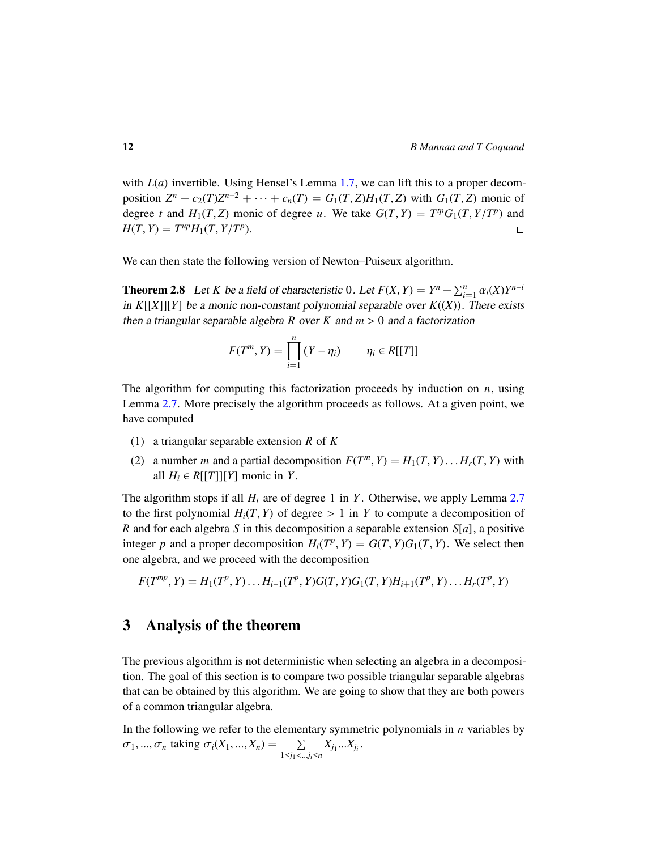with  $L(a)$  invertible. Using Hensel's Lemma [1.7,](#page-3-0) we can lift this to a proper decomposition  $Z^n + c_2(T)Z^{n-2} + \cdots + c_n(T) = G_1(T, Z)H_1(T, Z)$  with  $G_1(T, Z)$  monic of degree t and  $H(T, Z)$  monic of degree  $\mu$ . We take  $G(T, Y) = T^{tp}G_1(T, Y/T^p)$  and degree *t* and  $H_1(T, Z)$  monic of degree *u*. We take  $G(T, Y) = T^{tp}G_1(T, Y/T^p)$  and  $H(T, Y) = T^{up}H(T, Y/T^p)$  $H(T, Y) = T^{up}H_1(T, Y/T^p).$  $\Box$ 

We can then state the following version of Newton–Puiseux algorithm.

<span id="page-11-0"></span>**Theorem 2.8** Let *K* be a field of characteristic 0. Let  $F(X, Y) = Y^n + \sum_{i=1}^n \alpha_i(X)Y^{n-i}$ <br>in KUVIUVI be a monic non-constant polynomial soperable over  $F((Y))$ . There exists in  $K[[X]][Y]$  be a monic non-constant polynomial separable over  $K((X))$ . There exists then a triangular separable algebra *R* over *K* and  $m > 0$  and a factorization

$$
F(T^m, Y) = \prod_{i=1}^n (Y - \eta_i) \qquad \eta_i \in R[[T]]
$$

The algorithm for computing this factorization proceeds by induction on *n*, using Lemma [2.7.](#page-10-2) More precisely the algorithm proceeds as follows. At a given point, we have computed

- (1) a triangular separable extension *R* of *K*
- (2) a number *m* and a partial decomposition  $F(T^m, Y) = H_1(T, Y) \dots H_r(T, Y)$  with all  $H_i \in R[[T]][Y]$  monic in *Y*.

The algorithm stops if all  $H_i$  are of degree 1 in *Y*. Otherwise, we apply Lemma [2.7](#page-10-2) to the first polynomial  $H_i(T, Y)$  of degree  $> 1$  in *Y* to compute a decomposition of *R* and for each algebra *S* in this decomposition a separable extension *S*[*a*], a positive integer *p* and a proper decomposition  $H_i(T^p, Y) = G(T, Y)G_1(T, Y)$ . We select then one algebra, and we proceed with the decomposition

$$
F(T^{mp}, Y) = H_1(T^p, Y) \dots H_{i-1}(T^p, Y) G(T, Y) G_1(T, Y) H_{i+1}(T^p, Y) \dots H_r(T^p, Y)
$$

#### 3 Analysis of the theorem

The previous algorithm is not deterministic when selecting an algebra in a decomposition. The goal of this section is to compare two possible triangular separable algebras that can be obtained by this algorithm. We are going to show that they are both powers of a common triangular algebra.

In the following we refer to the elementary symmetric polynomials in *n* variables by  $\sigma_1, ..., \sigma_n$  taking  $\sigma_i(X_1, ..., X_n) = \sum_{1 \le j_1 < ...}$ <sup>1</sup>≤*j*1<...*ji*≤*<sup>n</sup>*  $X_{j_1}...X_{j_i}$ .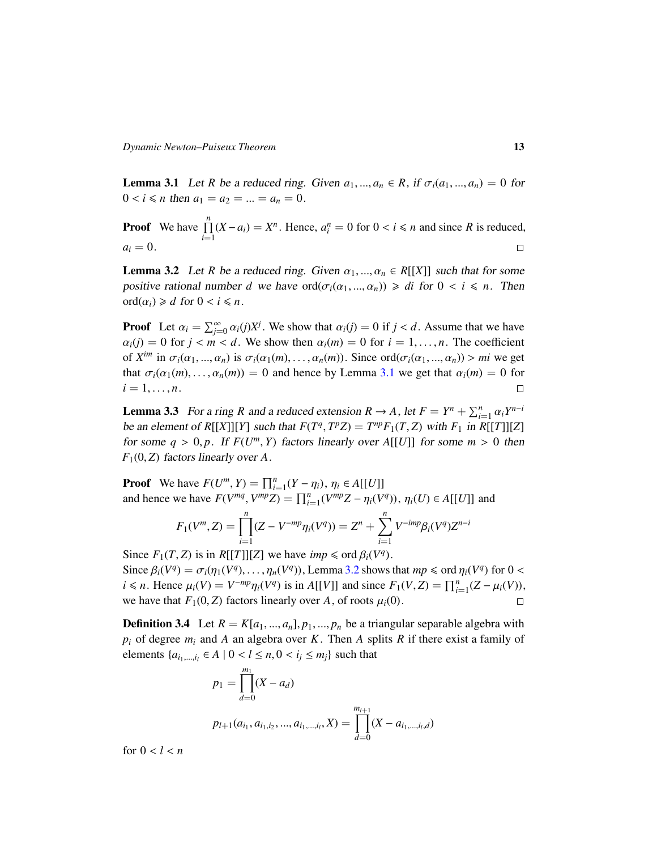<span id="page-12-0"></span>**Lemma 3.1** Let *R* be a reduced ring. Given  $a_1, ..., a_n \in R$ , if  $\sigma_i(a_1, ..., a_n) = 0$  for  $0 < i \leq n$  then  $a_1 = a_2 = ... = a_n = 0$ .

**Proof** We have  $\prod^n$  $\prod_{i=1}^{n}$  (*X* − *a*<sub>*i*</sub>) = *X<sup>n</sup>*. Hence,  $a_i^n = 0$  for  $0 < i \le n$  and since *R* is reduced,  $a_i = 0$ .

<span id="page-12-1"></span>**Lemma 3.2** Let *R* be a reduced ring. Given  $\alpha_1, ..., \alpha_n \in R[[X]]$  such that for some positive rational number *d* we have  $\text{ord}(\sigma_i(\alpha_1, ..., \alpha_n)) \ge d$  for  $0 < i \le n$ . Then ord $(\alpha_i) \ge d$  for  $0 < i \le n$ .

**Proof** Let  $\alpha_i = \sum_{j=0}^{\infty} \alpha_i(j) X^j$ . We show that  $\alpha_i(j) = 0$  if  $j < d$ . Assume that we have  $\alpha_i(j) = 0$  for  $i = 1, \ldots, n$ . The exceptional  $\alpha_i(j) = 0$  for  $j < m < d$ . We show then  $\alpha_i(m) = 0$  for  $i = 1, \ldots, n$ . The coefficient of  $X^{im}$  in  $\sigma_i(\alpha_1, ..., \alpha_n)$  is  $\sigma_i(\alpha_1(m), ..., \alpha_n(m))$ . Since ord $(\sigma_i(\alpha_1, ..., \alpha_n)) > mi$  we get<br>that  $\sigma_i(\alpha_1(m), ..., \alpha_n(m)) = 0$  and hance by Lamma 3.1 we get that  $\alpha_i(m) = 0$  for that  $\sigma_i(\alpha_1(m), \dots, \alpha_n(m)) = 0$  and hence by Lemma [3.1](#page-12-0) we get that  $\alpha_i(m) = 0$  for  $i = 1, \dots, n$ .  $i = 1, \ldots, n$ .

<span id="page-12-3"></span>**Lemma 3.3** For a ring *R* and a reduced extension  $R \to A$ , let  $F = Y^n + \sum_{i=1}^n \alpha_i Y^{n-i}$ <br>be an element of PUVULVL such that  $F(T^q, T^pZ) = T^{np}F(T^q, Z)$  with  $F_n$  in PUTULZL be an element of  $R[[X]][Y]$  such that  $F(T^q, T^pZ) = T^{np}F_1(T, Z)$  with  $F_1$  in  $R[[T]][Z]$ <br>for some  $q > 0$  n, if  $F(T^m, Y)$  fectors linearly over A[[*I*]] for some  $m > 0$  then for some  $q > 0$ ,  $p$ . If  $F(U^m, Y)$  factors linearly over  $A[[U]]$  for some  $m > 0$  then  $F(0, Z)$  factors linearly over  $A$ *<sup>F</sup>*1(0, *<sup>Z</sup>*) factors linearly over *<sup>A</sup>*.

**Proof** We have  $F(U^m, Y) = \prod_{i=1}^n (Y - \eta_i), \eta_i \in A[[U]]$ <br>and hance we have  $F(Y^m, Y) = \prod_{i=1}^n (Y - \eta_i), \eta_i \in A[[U]]$ and hence we have  $F(V^{mq}, V^{mp}Z) = \prod_{i=1}^{n} (V^{mp}Z - \eta_i(V^q)), \eta_i(U) \in A[[U]]$  and

$$
F_1(V^m, Z) = \prod_{i=1}^n (Z - V^{-mp} \eta_i(V^q)) = Z^n + \sum_{i=1}^n V^{-imp} \beta_i(V^q) Z^{n-i}
$$

Since  $F_1(T, Z)$  is in  $R[[T]][Z]$  we have *imp*  $\leq$  ord  $\beta_i(V^q)$ .<br>Since  $\beta_i(V^q) - \sigma_i(n_i(V^q))$  *n*  $(V^q)$ ) I amma 3.2 shows: Since  $\beta_i(V^q) = \sigma_i(\eta_1(V^q), \dots, \eta_n(V^q))$ , Lemma [3.2](#page-12-1) shows that  $mp \leq \text{ord } \eta_i(V^q)$  for  $0 \leq i \leq n$ . Hence  $\mu_i(V^q) = V^{-mp} \circ (V^q)$  is in All VII and since  $F_i(V^q) = \prod^n (Z_i, \mu_i(V^q))$ *i* ≤ *n*. Hence  $\mu_i(V) = V^{-mp} \eta_i(V^q)$  is in *A*[[*V*]] and since  $F_1(V, Z) = \prod_{i=1}^n (Z - \mu_i(V)),$ <br>we have that  $F_1(0, Z)$  foctors linearly over  $A$  of roots  $\mu_i(0)$ . we have that  $F_1(0, Z)$  factors linearly over *A*, of roots  $\mu_i(0)$ .

<span id="page-12-2"></span>**Definition 3.4** Let  $R = K[a_1, ..., a_n], p_1, ..., p_n$  be a triangular separable algebra with  $p_i$  of degree  $m_i$  and *A* an algebra over *K*. Then *A* splits *R* if there exist a family of elements {*a*<sub>*i*1,...,*i*<sub>*l*</sub></sub> ∈ *A* | 0 < *l* ≤ *n*, 0 < *i<sub>j</sub>* ≤ *m*<sub>*j*</sub>} such that

$$
p_1 = \prod_{d=0}^{m_1} (X - a_d)
$$
  

$$
p_{l+1}(a_{i_1}, a_{i_1, i_2}, ..., a_{i_1, ..., i_l}, X) = \prod_{d=0}^{m_{l+1}} (X - a_{i_1, ..., i_l, d})
$$

for  $0 < l < n$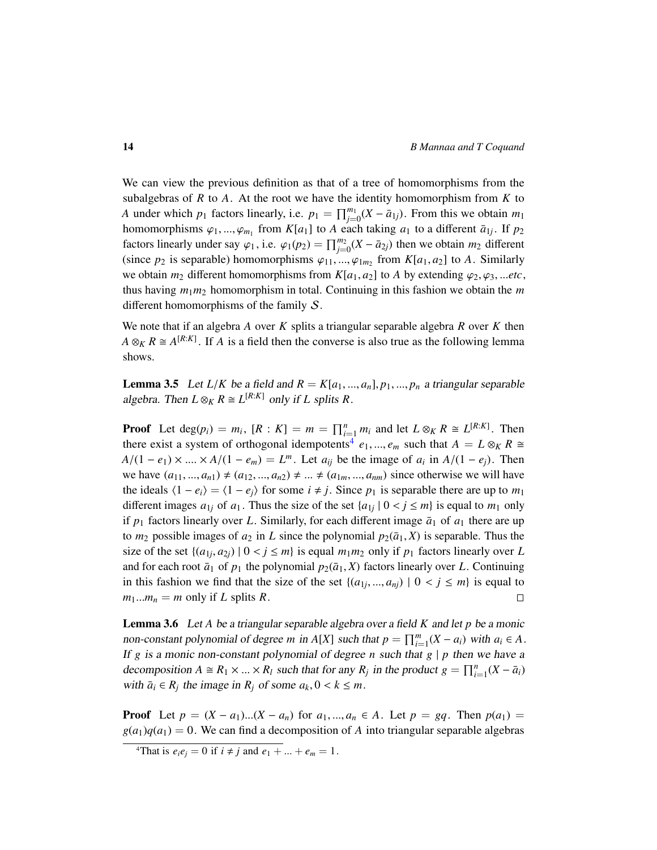We can view the previous definition as that of a tree of homomorphisms from the subalgebras of *R* to *A*. At the root we have the identity homomorphism from *K* to *A* under which  $p_1$  factors linearly, i.e.  $p_1 = \prod_{j=0}^{m_1} (X - \overline{a}_{1j})$ . From this we obtain  $m_1$ homomorphisms  $\varphi_1, ..., \varphi_{m_1}$  from  $K[a_1]$  to *A* each taking  $a_1$  to a different  $\bar{a}_{1j}$ . If  $p_2$ <br>factors linearly under sex  $(a_1, a_2, (a_1)$  –  $\prod^{m_2} (X, \bar{a}_1)$  then we obtain  $m_1$  different factors linearly under say  $\varphi_1$ , i.e.  $\varphi_1(p_2) = \prod_{j=0}^{m_2} (X - \bar{a}_{2j})$  then we obtain  $m_2$  different (*since n*, is separable) become propriations (*s*<sub>1</sub> *c*) from  $K[a_1, a_2]$  to A. Similarly (since  $p_2$  is separable) homomorphisms  $\varphi_{11}, ..., \varphi_{1m_2}$  from  $K[a_1, a_2]$  to *A*. Similarly we obtain  $m_2$  different homomorphisms from  $K[a_1, a_2]$  to A by extending  $\varphi_2, \varphi_3, \dots$  *etc*, thus having  $m_1m_2$  homomorphism in total. Continuing in this fashion we obtain the  $m$ different homomorphisms of the family S.

We note that if an algebra *A* over *K* splits a triangular separable algebra *R* over *K* then  $A \otimes_K R \cong A^{[R:K]}$ . If *A* is a field then the converse is also true as the following lemma shows.

**Lemma 3.5** Let  $L/K$  be a field and  $R = K[a_1, ..., a_n], p_1, ..., p_n$  a triangular separable algebra. Then  $L \otimes_K R \cong L^{[R:K]}$  only if *L* splits *R*.

**Proof** Let  $\deg(p_i) = m_i$ ,  $[R : K] = m = \prod_{i=1}^n m_i$  and let  $L \otimes_K R \cong L^{[R:K]}$ . Then there exist a system of orthogonal idempotents<sup>[4](#page-13-0)</sup>  $e_1, ..., e_m$  such that  $A = L \otimes_K R \cong$ <br> $A/(1-e) \times A/(1-e) = I^m$ . Let  $e_n$  be the image of  $e_n$  in  $A/(1-e)$ . Then  $A/(1 - e_1) \times ... \times A/(1 - e_m) = L^m$ . Let  $a_{ij}$  be the image of  $a_i$  in  $A/(1 - e_j)$ . Then<br>we have  $(a_{ij} - a_{ij}) \neq (a_{ij} - a_{ij}) \neq ...$ we have  $(a_{11},..., a_{n1}) \neq (a_{12},..., a_{n2}) \neq ... \neq (a_{1m},..., a_{nm})$  since otherwise we will have the ideals  $\langle 1 - e_i \rangle = \langle 1 - e_i \rangle$  for some  $i \neq j$ . Since  $p_1$  is separable there are up to  $m_1$ different images  $a_{1j}$  of  $a_1$ . Thus the size of the set  $\{a_{1j} | 0 < j \le m\}$  is equal to  $m_1$  only if n fortow linearly over  $I$ . Similarly for each different image  $\bar{a}_i$  of  $a_i$  there are un if  $p_1$  factors linearly over *L*. Similarly, for each different image  $\bar{a}_1$  of  $a_1$  there are up to  $m_2$  possible images of  $a_2$  in *L* since the polynomial  $p_2(\bar{a}_1, X)$  is separable. Thus the size of the set  $\{(a_{1j}, a_{2j}) \mid 0 < j \le m\}$  is equal  $m_1m_2$  only if  $p_1$  factors linearly over *L*<br>and for each root  $\bar{a}_i$ , of *n*, the polynomial  $p_i(\bar{a}_i, X)$  factors linearly over *L*. Continuing and for each root  $\bar{a}_1$  of  $p_1$  the polynomial  $p_2(\bar{a}_1, X)$  factors linearly over *L*. Continuing in this fashion we find that the size of the set  $\{(a_{1j},...,a_{nj}) \mid 0 < j \le m\}$  is equal to  $m - m$  only if L onlits *P*  $m_1...m_n = m$  only if *L* splits *R*.

<span id="page-13-1"></span>Lemma 3.6 Let *A* be a triangular separable algebra over a field *K* and let *p* be a monic non-constant polynomial of degree *m* in *A*[*X*] such that  $p = \prod_{i=1}^{m} (X - a_i)$  with  $a_i \in A$ . If *g* is a monic non-constant polynomial of degree *n* such that  $g \mid p$  then we have a decomposition *A* ≅ *R*<sub>1</sub> × ... × *R*<sub>*l*</sub> such that for any *R<sub>j</sub>* in the product *g* =  $\prod_{i=1}^{n} (X - \bar{a}_i)$ <br>with  $\bar{a} \in B$ , the image in *B* of some  $a_1$ , 0 ≤ k ≤ m with  $\bar{a}_i \in R_j$  the image in  $R_j$  of some  $a_k, 0 \lt k \leq m$ .

**Proof** Let  $p = (X - a_1)...(X - a_n)$  for  $a_1,..., a_n \in A$ . Let  $p = gq$ . Then  $p(a_1) =$  $g(a_1)q(a_1) = 0$ . We can find a decomposition of *A* into triangular separable algebras

<span id="page-13-0"></span><sup>&</sup>lt;sup>4</sup>That is  $e_i e_j = 0$  if  $i \neq j$  and  $e_1 + ... + e_m = 1$ .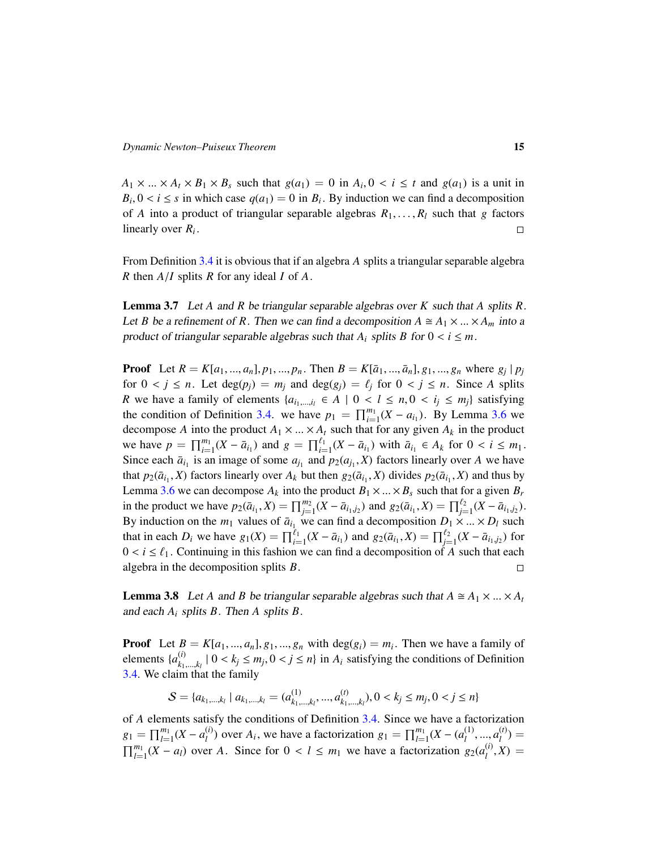$A_1 \times ... \times A_t \times B_1 \times B_s$  such that  $g(a_1) = 0$  in  $A_i, 0 < i \le t$  and  $g(a_1)$  is a unit in  $B_1 \cap A_i \times B_s$  is a unit in  $B_i$ ,  $0 < i \leq s$  in which case  $q(a_1) = 0$  in  $B_i$ . By induction we can find a decomposition of *A* into a product of triangular separable algebras  $B_i$  and  $B_i$  such that *a* fectors of *A* into a product of triangular separable algebras  $R_1, \ldots, R_l$  such that *g* factors linearly over  $R_i$ . linearly over *R<sup>i</sup>* .

From Definition [3.4](#page-12-2) it is obvious that if an algebra *A* splits a triangular separable algebra *<sup>R</sup>* then *<sup>A</sup>*/*<sup>I</sup>* splits *<sup>R</sup>* for any ideal *<sup>I</sup>* of *<sup>A</sup>*.

<span id="page-14-1"></span>Lemma 3.7 Let *A* and *R* be triangular separable algebras over *K* such that *A* splits *R*. Let *B* be a refinement of *R*. Then we can find a decomposition  $A \cong A_1 \times ... \times A_m$  into a product of triangular separable algebras such that  $A_i$  splits  $B$  for  $0 \lt i \leq m$ .

**Proof** Let  $R = K[a_1, ..., a_n], p_1, ..., p_n$ . Then  $B = K[\bar{a}_1, ..., \bar{a}_n], g_1, ..., g_n$  where  $g_j | p_j$ <br>for  $0 \le i \le n$ . Let  $d\alpha(n) = m$  and  $d\alpha(a) = \ell$  for  $0 \le i \le n$ . Since A colite for  $0 \lt j \leq n$ . Let  $\deg(p_i) = m_i$  and  $\deg(g_i) = \ell_i$  for  $0 \lt j \leq n$ . Since A splits *R* we have a family of elements  $\{a_{i_1,\dots,i_l} \in A \mid 0 < l \leq n, 0 < i_j \leq m_j\}$  satisfying the condition of Definition [3.4.](#page-12-2) we have  $p_1 = \prod_{i=1}^{m_1} (X - a_{i_1})$ . By Lemma [3.6](#page-13-1) we decompose *A* into the product  $A_1 \times ... \times A_t$  such that for any given  $A_k$  in the product we have  $p = \prod_{i=1}^{m_1} (X - \bar{a}_{i_1})$  and  $g = \prod_{i=1}^{\ell_1} (X - \bar{a}_{i_1})$  with  $\bar{a}_{i_1} \in A_k$  for  $0 < i \leq m_1$ .<br>Since each  $\bar{a}_{i_1}$  is an image of some  $a_{i_1}$  and  $p_i(a_i, X)$  fectors linearly over A we have Since each  $\bar{a}_{i_1}$  is an image of some  $a_{j_1}$  and  $p_2(a_{j_1}, X)$  factors linearly over *A* we have that  $p_2(\bar{a}_i, X)$  factors linearly over *A* we have that  $p_2(\bar{a}_{i_1}, X)$  factors linearly over  $A_k$  but then  $g_2(\bar{a}_{i_1}, X)$  divides  $p_2(\bar{a}_{i_1}, X)$  and thus by Lemma [3.6](#page-13-1) we can decompose  $A_k$  into the product  $B_1 \times ... \times B_s$  such that for a given  $B_r$ in the product we have  $p_2(\bar{a}_{i_1}, X) = \prod_{j=1}^{m_2} (X - \bar{a}_{i_1, i_2})$  and  $g_2(\bar{a}_{i_1}, X) = \prod_{j=1}^{\ell_2} (X - \bar{a}_{i_1, i_2})$ .<br>By induction on the multiplier of  $\bar{a}$  we gen find a decomposition  $D_1 \times \cdots \times D_n$  such By induction on the  $m_1$  values of  $\bar{a}_{i_1}$  we can find a decomposition  $D_1 \times ... \times D_l$  such that in each *D<sub>i</sub>* we have  $g_1(X) = \prod_{i=1}^{t_1} (X - \bar{a}_{i_1})$  and  $g_2(\bar{a}_{i_1}, X) = \prod_{i=1}^{t_2} (X - \bar{a}_{i_1, j_2})$  for  $0 < i \leq \ell_1$ . Continuing in this fashion we can find a decomposition of *A* such that each algebra in the decomposition splits *B*. algebra in the decomposition splits *B*.

<span id="page-14-0"></span>**Lemma 3.8** Let *A* and *B* be triangular separable algebras such that  $A \cong A_1 \times ... \times A_t$ and each *A<sup>i</sup>* splits *B*. Then *A* splits *B*.

**Proof** Let  $B = K[a_1, ..., a_n], g_1, ..., g_n$  with  $\deg(g_i) = m_i$ . Then we have a family of elements  $(a^{(i)} - 10 \le k \le m, 0 \le i \le n)$  in A, satisfying the conditions of Definition elements  $\{a_k^{(i)}\}$  $\begin{cases} h_{k_1,...,k_l}^{(t)} \mid 0 < k_j \le m_j, 0 < j \le n$ } in *A*<sub>*i*</sub> satisfying the conditions of Definition in that the family [3.4.](#page-12-2) We claim that the family

$$
S = \{a_{k_1,\dots,k_l} \mid a_{k_1,\dots,k_l} = (a_{k_1,\dots,k_l}^{(1)},...,a_{k_1,\dots,k_l}^{(t)}), 0 < k_j \le m_j, 0 < j \le n\}
$$

of *A* elements satisfy the conditions of Definition [3.4.](#page-12-2) Since we have a factorization  $g_1 = \prod_{l=1}^{m_1} (X - a_l^{(i)})$ *l*<sup>(*i*)</sup>) over *A*<sub>*i*</sub>, we have a factorization  $g_1 = \prod_{l=1}^{m_1} (X - (a_l^{(1)})$  $a_l^{(1)},..., a_l^{(t)}$ <br> *l (i) x*  $\binom{1}{l} =$  $\prod_{l=1}^{m_1} (X - a_l)$  over *A*. Since for  $0 < l \leq m_1$  we have a factorization  $g_2(a_l^{(i)})$  $\binom{U}{l}$ ,  $X$ ) =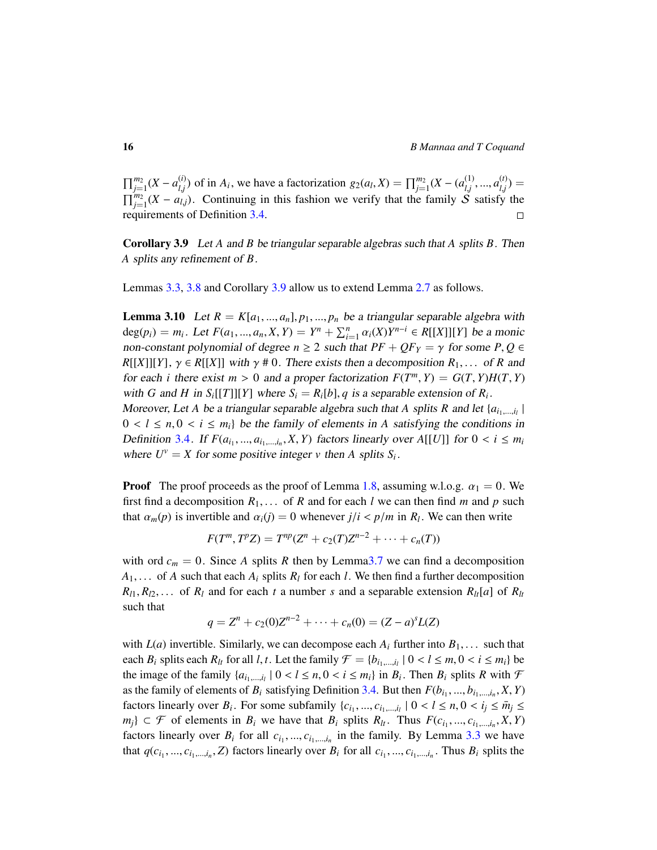$\prod_{j=1}^{m_2} (X - a_{l,j}^{(i)})$ *l*<sub>*j*</sub></sub> of in *A*<sub>*i*</sub>, we have a factorization *g*<sub>2</sub>(*a*<sub>*l*</sub>,*X*) =  $\prod_{j=1}^{m_2} (X - (a_{l,j}^{(1)})$  $a_{l,j}^{(1)},...,a_{l,j}^{(t)}$ <br>
S satisfy  $\binom{U}{l,j}$  =  $\prod_{j=1}^{m_2} (X - a_{l,j})$ . Continuing in this fashion we verify that the family  $\mathcal{S}$  satisfy the requirements of Definition [3.4.](#page-12-2)

<span id="page-15-0"></span>Corollary 3.9 Let *A* and *B* be triangular separable algebras such that *A* splits *B*. Then *A* splits any refinement of *B*.

Lemmas [3.3,](#page-12-3) [3.8](#page-14-0) and Corollary [3.9](#page-15-0) allow us to extend Lemma [2.7](#page-10-2) as follows.

**Lemma 3.10** Let  $R = K[a_1, ..., a_n], p_1, ..., p_n$  be a triangular separable algebra with deg( $p_i$ ) =  $m_i$ . Let  $F(a_1, ..., a_n, X, Y) = Y^n + \sum_{i=1}^n \alpha_i(X)Y^{n-i} \in R[[X]][Y]$  be a monic non-constant polynomial of degree  $n \geq 2$  such that  $PF + QF_Y = \gamma$  for some  $P, Q \in$  $R[[X]][Y], \gamma \in R[[X]]$  with  $\gamma \neq 0$ . There exists then a decomposition  $R_1, \ldots$  of *R* and for each *i* there exist  $m > 0$  and a proper factorization  $F(T^m, Y) = G(T, Y)H(T, Y)$ <br>with  $G$  and  $H$  in  $S$  [[*T*])[[*V*] where  $S = P$  [b] a is a separable extension of  $P$ with *G* and *H* in  $S_i[[T]][Y]$  where  $S_i = R_i[b], q$  is a separable extension of  $R_i$ .<br>Moreover *L* at *A* be a triangular separable algebra such that *A* splits *P* and let (

Moreover, Let *A* be a triangular separable algebra such that *A* splits *R* and let  $\{a_{i_1,\dots,i_l}\}\$  $0 < l \leq n, 0 < i \leq m_i$  be the family of elements in A satisfying the conditions in Definition [3](#page-12-2).4. If  $F(a_i, ..., a_{i_1, ..., i_n}, X, Y)$  factors linearly over  $A[[U]]$  for  $0 < i \leq m_i$ <br>where  $I^V = Y$  for some positive integer *y* than A splite *S*. where  $U^{\nu} = X$  for some positive integer  $\nu$  then A splits  $S_i$ .

**Proof** The proof proceeds as the proof of Lemma [1.8,](#page-4-1) assuming w.l.o.g.  $\alpha_1 = 0$ . We first find a decomposition  $R_1, \ldots$  of  $R$  and for each  $l$  we can then find  $m$  and  $p$  such that  $\alpha_m(p)$  is invertible and  $\alpha_i(j) = 0$  whenever  $j/i < p/m$  in  $R_i$ . We can then write

$$
F(T^m, T^p Z) = T^{np}(Z^n + c_2(T)Z^{n-2} + \cdots + c_n(T))
$$

with ord  $c_m = 0$ . Since A splits R then by Lemma 3.7 we can find a decomposition  $A_1, \ldots$  of *A* such that each  $A_i$  splits  $R_i$  for each *l*. We then find a further decomposition  $R_{l1}, R_{l2}, \ldots$  of  $R_l$  and for each  $t$  a number  $s$  and a separable extension  $R_{lt}[a]$  of  $R_{lt}[a]$ such that

$$
q = Zn + c2(0)Zn-2 + \cdots + cn(0) = (Z - a)sL(Z)
$$

with  $L(a)$  invertible. Similarly, we can decompose each  $A_i$  further into  $B_1, \ldots$  such that each *B<sub>i</sub>* splits each *R<sub>lt</sub>* for all *l*, *t*. Let the family  $\mathcal{F} = \{b_{i_1,\dots,i_l} | 0 < l \leq m, 0 < i \leq m\}$  be<br>the image of the family  $\{a_{i_1}, \dots, a_{i_l}\} \subset \{a_i, a_l\}$  and in *B*. Then *B* splits *B* with  $\mathcal{F}$ the image of the family  $\{a_{i_1,\dots,i_l} \mid 0 < l \le n, 0 < i \le m_i\}$  in  $B_i$ . Then  $B_i$  splits  $R$  with  $\mathcal F$  as the family of claments of  $P$ , estigfying Definition 2.4. But then  $F(h)$  by  $X, Y$ as the family of elements of  $B_i$  satisfying Definition [3.4.](#page-12-2) But then  $F(b_{i_1},...,b_{i_1},...,i_n}, X, Y)$ factors linearly over  $B_i$ . For some subfamily  $\{c_{i_1},...,c_{i_1,...,i_l} \mid 0 < l \leq n, 0 < i_j \leq \bar{m}_j \leq j \leq n\}$ *m<sub>j</sub>*} ⊂ *F* of elements in *B<sub>i</sub>* we have that *B<sub>i</sub>* splits *R<sub>lt</sub>*. Thus *F*(*c<sub>i</sub>*<sub>1</sub>, ...,*c<sub>i</sub>*<sub>1</sub>, ...*i<sub>n</sub>*</sub>, *X*, *Y*) fortcall *c*<sub>*n*</sub> *c*<sub>*i*</sub> in the family By Lamma 3.3 we have factors linearly over  $B_i$  for all  $c_i$ , ...,  $c_{i_1,\dots,i_n}$  in the family. By Lemma [3.3](#page-12-3) we have that  $q(c_{i_1},...,c_{i_1,...,i_n},Z)$  factors linearly over  $B_i$  for all  $c_{i_1},...,c_{i_1,...,i_n}$ . Thus  $B_i$  splits the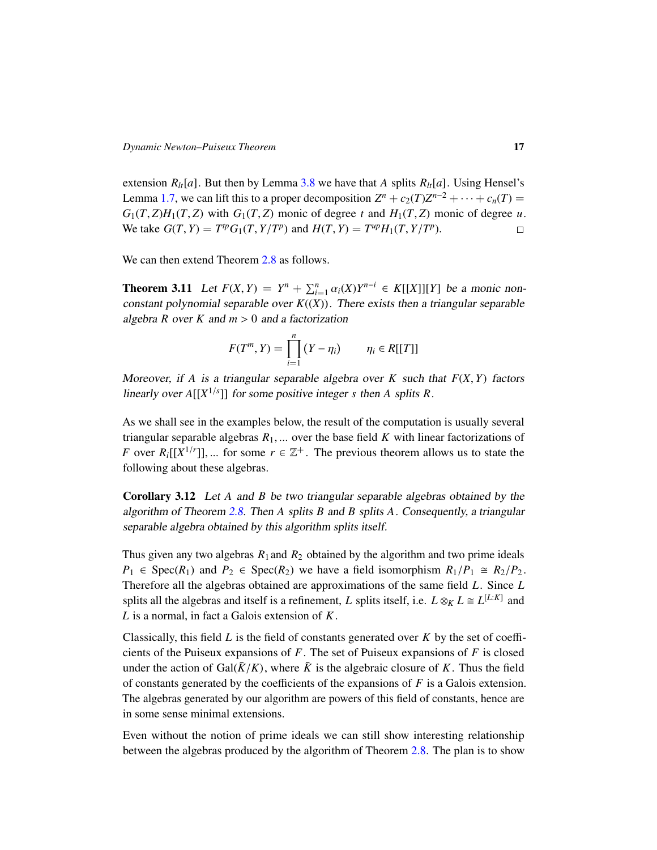extension  $R_h[a]$ . But then by Lemma [3.8](#page-14-0) we have that *A* splits  $R_h[a]$ . Using Hensel's Lemma [1.7,](#page-3-0) we can lift this to a proper decomposition  $Z^n + c_2(T)Z^{n-2} + \cdots + c_n(T) =$  $G_1(T, Z)H_1(T, Z)$  with  $G_1(T, Z)$  monic of degree *t* and  $H_1(T, Z)$  monic of degree *u*.<br>We take  $G(T, Y) = T^{tp}G_1(T, Y/T^p)$  and  $H(T, Y) = T^{up}H_1(T, Y/T^p)$ . We take  $G(T, Y) = T^{tp}G_1(T, Y/T^p)$  and  $H(T, Y) = T^{up}H_1(T, Y/T^p)$ .

We can then extend Theorem [2.8](#page-11-0) as follows.

<span id="page-16-0"></span>**Theorem 3.11** Let  $F(X, Y) = Y^n + \sum_{i=1}^n \alpha_i(X)Y^{n-i} \in K[[X]][Y]$  be a monic non-constant polynomial constable over  $F((X))$ . There exists then a triangular constable constant polynomial separable over  $K((X))$ . There exists then a triangular separable algebra  $R$  over  $K$  and  $m > 0$  and a factorization

$$
F(T^m, Y) = \prod_{i=1}^n (Y - \eta_i) \qquad \eta_i \in R[[T]]
$$

Moreover, if *A* is a triangular separable algebra over *K* such that  $F(X, Y)$  factors linearly over  $A[[X^{1/s}]]$  for some positive integer *s* then *A* splits *R*.

As we shall see in the examples below, the result of the computation is usually several triangular separable algebras  $R_1$ , ... over the base field  $K$  with linear factorizations of *F* over  $R_i[[X^{1/r}]]$ , ... for some  $r \in \mathbb{Z}^+$ . The previous theorem allows us to state the following about these algebras. following about these algebras.

<span id="page-16-1"></span>Corollary 3.12 Let *A* and *B* be two triangular separable algebras obtained by the algorithm of Theorem [2.8.](#page-11-0) Then *A* splits *B* and *B* splits *A*. Consequently, a triangular separable algebra obtained by this algorithm splits itself.

Thus given any two algebras  $R_1$  and  $R_2$  obtained by the algorithm and two prime ideals  $P_1 \in \text{Spec}(R_1)$  and  $P_2 \in \text{Spec}(R_2)$  we have a field isomorphism  $R_1/P_1 \cong R_2/P_2$ . Therefore all the algebras obtained are approximations of the same field *L*. Since *L* splits all the algebras and itself is a refinement, *L* splits itself, i.e.  $L \otimes_K L \cong L^{[L:K]}$  and *L* is a normal, in fact a Galois extension of *K*.

Classically, this field *L* is the field of constants generated over *K* by the set of coefficients of the Puiseux expansions of *F*. The set of Puiseux expansions of *F* is closed under the action of Gal( $\bar{K}/K$ ), where  $\bar{K}$  is the algebraic closure of *K*. Thus the field of constants generated by the coefficients of the expansions of *F* is a Galois extension. The algebras generated by our algorithm are powers of this field of constants, hence are in some sense minimal extensions.

Even without the notion of prime ideals we can still show interesting relationship between the algebras produced by the algorithm of Theorem [2.8.](#page-11-0) The plan is to show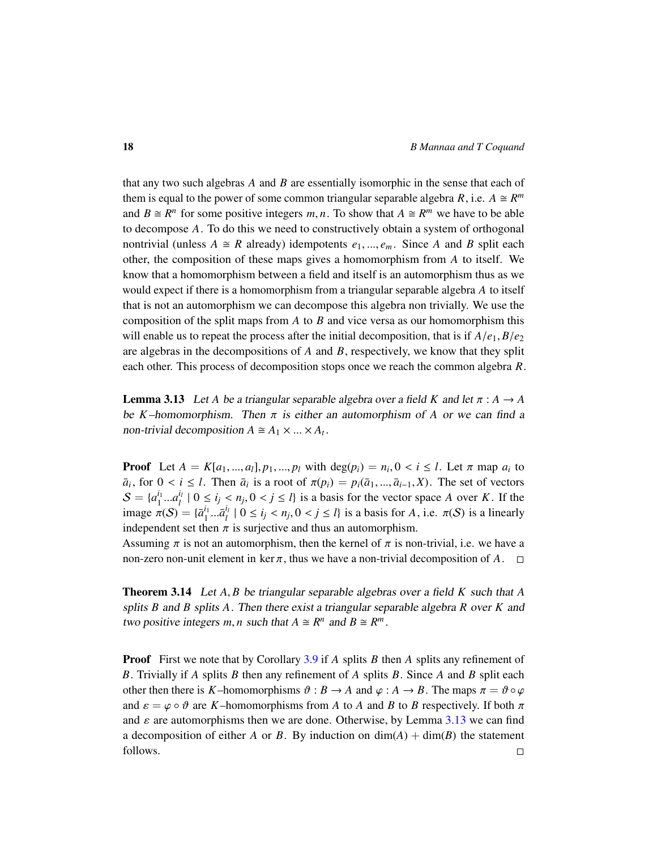that any two such algebras *A* and *B* are essentially isomorphic in the sense that each of them is equal to the power of some common triangular separable algebra *R*, i.e.  $A \cong R^m$ and  $B \cong R^n$  for some positive integers *m*, *n*. To show that  $A \cong R^m$  we have to be able<br>to decompose A. To do this we poed to constructively obtain a system of orthogonal to decompose *A*. To do this we need to constructively obtain a system of orthogonal nontrivial (unless  $A \cong R$  already) idempotents  $e_1, ..., e_m$ . Since A and B split each other, the composition of these maps gives a homomorphism from *A* to itself. We know that a homomorphism between a field and itself is an automorphism thus as we would expect if there is a homomorphism from a triangular separable algebra *A* to itself that is not an automorphism we can decompose this algebra non trivially. We use the composition of the split maps from *A* to *B* and vice versa as our homomorphism this will enable us to repeat the process after the initial decomposition, that is if  $A/e_1$ ,  $B/e_2$ are algebras in the decompositions of *A* and *B*, respectively, we know that they split each other. This process of decomposition stops once we reach the common algebra *R*.

<span id="page-17-1"></span>**Lemma 3.13** Let *A* be a triangular separable algebra over a field *K* and let  $\pi$  :  $A \rightarrow A$ be *K*–homomorphism. Then  $\pi$  is either an automorphism of *A* or we can find a non-trivial decomposition  $A \cong A_1 \times ... \times A_t$ .

**Proof** Let  $A = K[a_1, ..., a_l], p_1, ..., p_l$  with  $\deg(p_i) = n_i, 0 < i \le l$ . Let  $\pi$  map  $a_i$  to  $\bar{a}$ , for  $0 \le i \le l$ . Then  $\bar{a}$  is a rest of  $\pi(n) = n(\bar{a} - \bar{a} - \bar{X})$ . The set of vectors  $\overline{a}_i$ , for  $0 < i \leq l$ . Then  $\overline{a}_i$  is a root of  $\pi(p_i) = p_i(\overline{a}_1, ..., \overline{a}_{i-1}, X)$ . The set of vectors  $S = \{a^{i_1}, a^{i_1} \mid 0 \leq i \leq n, 0 \leq i \leq l\}$  is a basis for the vector grass A such K. If the  $S = \{a_1^{i_1}\}$  $\frac{i_1}{1}...a_l^{i_l}$ <br> $\frac{1}{2}$  $\begin{cases} \n\mu & \text{if } 0 \leq i_j < n_j, 0 < j \leq l \text{ is a basis for the vector space } A \text{ over } K. \n\end{cases}$  If the  $\mu = \begin{cases} \n\pi^{i_1} & \text{if } i \leq n, 0 < i < n, 0 < i < l \text{ is a basis for } A, \text{ is a } \pi(S) \text{ is a linearly.}\n\end{cases}$ image  $\pi(S) = {\bar{a}}_1^{i_1}$ <br>independent set the  $\bar{a}_1^{i_1} ... \bar{a}_l^{i_l}$ <br>  $\bar{a}_2^{i_1} ... \bar{a}_l^{i_l}$  $\begin{cases} \n\mu & \text{if } 0 \leq i_j < n_j, 0 < j \leq l \text{ is a basis for } A \text{, i.e. } \pi(S) \text{ is a linearly} \\ \n\pi & \text{is a unis†ive and thus an automorphism.} \n\end{cases}$ independent set then  $\pi$  is surjective and thus an automorphism.

Assuming  $\pi$  is not an automorphism, then the kernel of  $\pi$  is non-trivial, i.e. we have a non-zero non-unit element in ker  $\pi$ , thus we have a non-trivial decomposition of  $A$ .  $\square$ 

<span id="page-17-0"></span>Theorem 3.14 Let *<sup>A</sup>*, *<sup>B</sup>* be triangular separable algebras over a field *<sup>K</sup>* such that *<sup>A</sup>* splits *B* and *B* splits *A*. Then there exist a triangular separable algebra *R* over *K* and two positive integers *m*, *n* such that  $A \cong R^n$  and  $B \cong R^m$ .

Proof First we note that by Corollary [3.9](#page-15-0) if *A* splits *B* then *A* splits any refinement of *B*. Trivially if *A* splits *B* then any refinement of *A* splits *B*. Since *A* and *B* split each other then there is *K*–homomorphisms  $\vartheta : B \to A$  and  $\varphi : A \to B$ . The maps  $\pi = \vartheta \circ \varphi$ and  $\varepsilon = \varphi \circ \vartheta$  are *K*–homomorphisms from *A* to *A* and *B* to *B* respectively. If both  $\pi$ and  $\varepsilon$  are automorphisms then we are done. Otherwise, by Lemma [3.13](#page-17-1) we can find a decomposition of either *A* or *B*. By induction on  $\dim(A) + \dim(B)$  the statement follows. $\Box$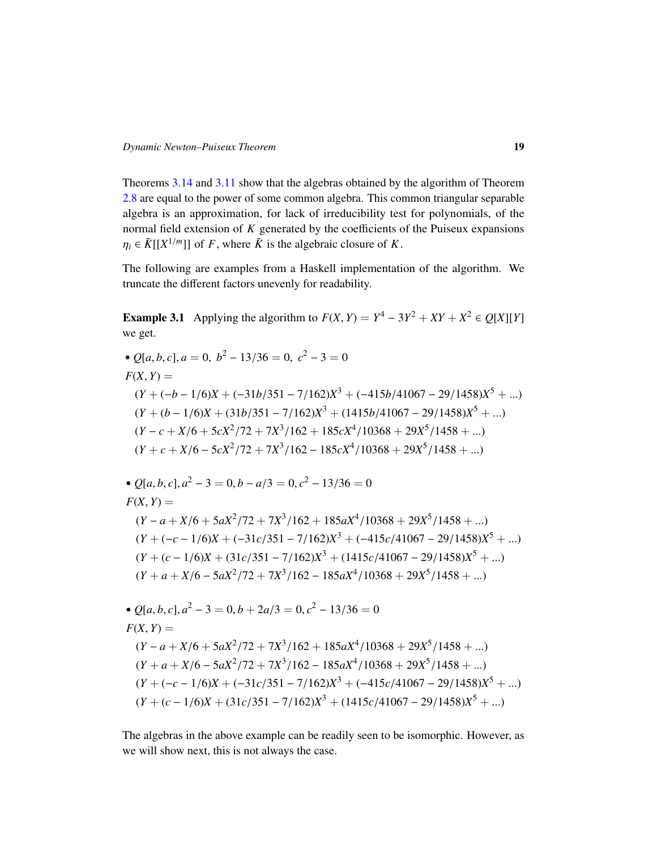Theorems [3.14](#page-17-0) and [3.11](#page-16-0) show that the algebras obtained by the algorithm of Theorem [2.8](#page-11-0) are equal to the power of some common algebra. This common triangular separable algebra is an approximation, for lack of irreducibility test for polynomials, of the normal field extension of *K* generated by the coefficients of the Puiseux expansions  $\eta_i \in \overline{K}[[X^{1/m}]]$  of *F*, where  $\overline{K}$  is the algebraic closure of *K*.

The following are examples from a Haskell implementation of the algorithm. We truncate the different factors unevenly for readability.

**Example 3.1** Applying the algorithm to  $F(X, Y) = Y^4 - 3Y^2 + XY + X^2 \in Q[X][Y]$ we get.

• 
$$
Q[a, b, c], a = 0, b^2 - 13/36 = 0, c^2 - 3 = 0
$$
  
\n $F(X, Y) =$   
\n $(Y + (-b - 1/6)X + (-31b/351 - 7/162)X^3 + (-415b/41067 - 29/1458)X^5 + ...)$   
\n $(Y + (b - 1/6)X + (31b/351 - 7/162)X^3 + (1415b/41067 - 29/1458)X^5 + ...)$   
\n $(Y - c + X/6 + 5cx^2/72 + 7X^3/162 + 185cx^4/10368 + 29X^5/1458 + ...)$   
\n $(Y + c + X/6 - 5cx^2/72 + 7X^3/162 - 185cx^4/10368 + 29X^5/1458 + ...)$   
\n•  $Q[a, b, c], a^2 - 3 = 0, b - a/3 = 0, c^2 - 13/36 = 0$   
\n $F(X, Y) =$   
\n $(Y - a + X/6 + 5aX^2/72 + 7X^3/162 + 185aX^4/10368 + 29X^5/1458 + ...)$   
\n $(Y + (-c - 1/6)X + (-31c/351 - 7/162)X^3 + (-415c/41067 - 29/1458)X^5 + ...)$   
\n $(Y + (c - 1/6)X + (31c/351 - 7/162)X^3 + (1415c/41067 - 29/1458)X^5 + ...)$   
\n $(Y + a + X/6 - 5aX^2/72 + 7X^3/162 - 185aX^4/10368 + 29X^5/1458 + ...)$   
\n•  $Q[a, b, c], a^2 - 3 = 0, b + 2a/3 = 0, c^2 - 13/36 = 0$   
\n $F(X, Y) =$   
\n $(Y - a + X/6 + 5aX^2/72 + 7X^3/162 + 185aX^4/10368 + 29X^5$ 

The algebras in the above example can be readily seen to be isomorphic. However, as we will show next, this is not always the case.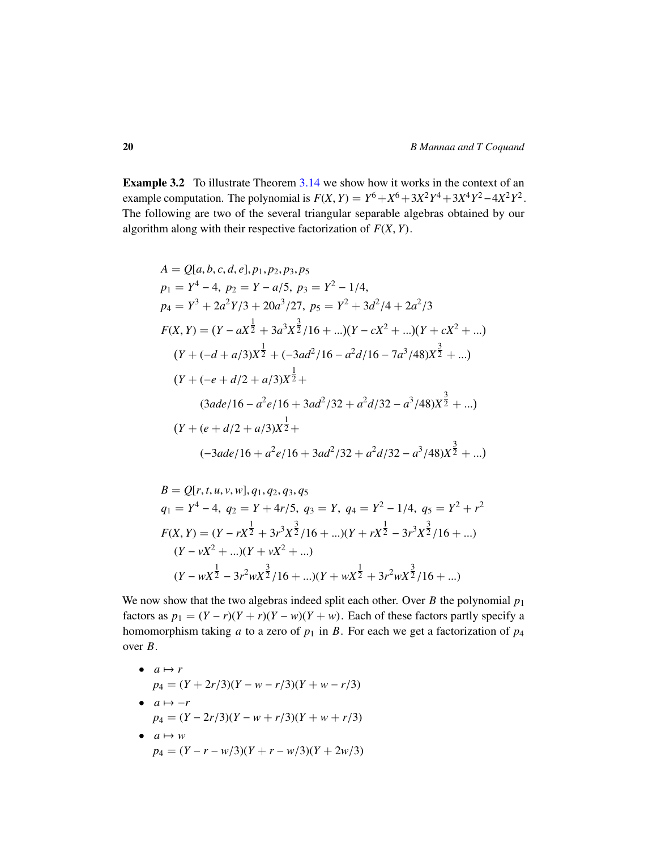Example 3.2 To illustrate Theorem [3.14](#page-17-0) we show how it works in the context of an example computation. The polynomial is  $F(X, Y) = Y^6 + X^6 + 3X^2Y^4 + 3X^4Y^2 - 4X^2Y^2$ .<br>The following are two of the several triangular separable algebras obtained by our The following are two of the several triangular separable algebras obtained by our algorithm along with their respective factorization of *<sup>F</sup>*(*X*, *<sup>Y</sup>*).

$$
A = Q[a, b, c, d, e], p_1, p_2, p_3, p_5
$$
  
\n
$$
p_1 = Y^4 - 4, p_2 = Y - a/5, p_3 = Y^2 - 1/4,
$$
  
\n
$$
p_4 = Y^3 + 2a^2Y/3 + 20a^3/27, p_5 = Y^2 + 3d^2/4 + 2a^2/3
$$
  
\n
$$
F(X, Y) = (Y - aX^{\frac{1}{2}} + 3a^3X^{\frac{3}{2}}/16 + ...)(Y - cX^2 + ...)(Y + cX^2 + ...)
$$
  
\n
$$
(Y + (-d + a/3)X^{\frac{1}{2}} + (-3ad^2/16 - a^2d/16 - 7a^3/48)X^{\frac{3}{2}} + ...)
$$
  
\n
$$
(Y + (-e + d/2 + a/3)X^{\frac{1}{2}} + (3ad^2/32 + a^2d/32 - a^3/48)X^{\frac{3}{2}} + ...)
$$
  
\n
$$
(Y + (e + d/2 + a/3)X^{\frac{1}{2}} + (3ad^2/32 + a^2d/32 - a^3/48)X^{\frac{3}{2}} + ...)
$$

$$
B = Q[r, t, u, v, w], q_1, q_2, q_3, q_5
$$
  
\n
$$
q_1 = Y^4 - 4, q_2 = Y + 4r/5, q_3 = Y, q_4 = Y^2 - 1/4, q_5 = Y^2 + r^2
$$
  
\n
$$
F(X, Y) = (Y - rX^{\frac{1}{2}} + 3r^3X^{\frac{3}{2}}/16 + ...)(Y + rX^{\frac{1}{2}} - 3r^3X^{\frac{3}{2}}/16 + ...)
$$
  
\n
$$
(Y - vX^2 + ...)(Y + vX^2 + ...)
$$
  
\n
$$
(Y - wX^{\frac{1}{2}} - 3r^2wX^{\frac{3}{2}}/16 + ...)(Y + wX^{\frac{1}{2}} + 3r^2wX^{\frac{3}{2}}/16 + ...)
$$

We now show that the two algebras indeed split each other. Over *B* the polynomial *p*<sup>1</sup> factors as  $p_1 = (Y - r)(Y + r)(Y - w)(Y + w)$ . Each of these factors partly specify a homomorphism taking *a* to a zero of  $p_1$  in *B*. For each we get a factorization of  $p_4$ over *B*.

\n- \n
$$
a \mapsto r
$$
\n
$$
p_4 = (Y + 2r/3)(Y - w - r/3)(Y + w - r/3)
$$
\n
\n- \n
$$
a \mapsto -r
$$
\n
$$
p_4 = (Y - 2r/3)(Y - w + r/3)(Y + w + r/3)
$$
\n
\n- \n
$$
a \mapsto w
$$
\n
$$
p_4 = (Y - r - w/3)(Y + r - w/3)(Y + 2w/3)
$$
\n
\n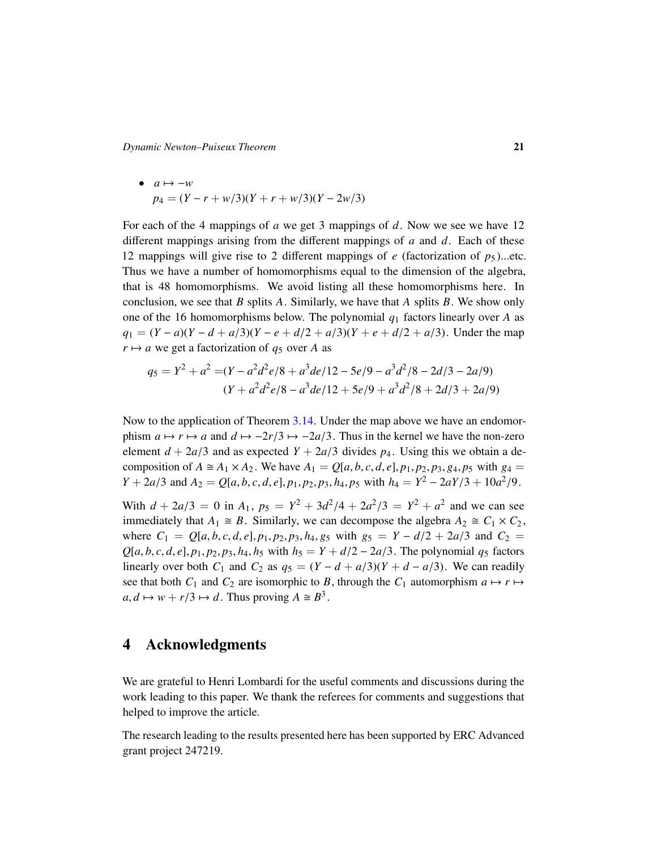*Dynamic Newton–Puiseux Theorem* 21

• 
$$
a \mapsto -w
$$
  
\n $p_4 = (Y - r + w/3)(Y + r + w/3)(Y - 2w/3)$ 

For each of the 4 mappings of *a* we get 3 mappings of *d*. Now we see we have 12 different mappings arising from the different mappings of *a* and *d*. Each of these 12 mappings will give rise to 2 different mappings of  $e$  (factorization of  $p_5$ )...etc. Thus we have a number of homomorphisms equal to the dimension of the algebra, that is 48 homomorphisms. We avoid listing all these homomorphisms here. In conclusion, we see that *B* splits *A*. Similarly, we have that *A* splits *B*. We show only one of the 16 homomorphisms below. The polynomial *q*<sup>1</sup> factors linearly over *A* as  $q_1 = (Y - a)(Y - d + a/3)(Y - e + d/2 + a/3)(Y + e + d/2 + a/3)$ . Under the map  $r \mapsto a$  we get a factorization of  $q_5$  over *A* as

$$
q_5 = Y^2 + a^2 = (Y - a^2d^2e/8 + a^3de/12 - 5e/9 - a^3d^2/8 - 2d/3 - 2a/9)
$$
  

$$
(Y + a^2d^2e/8 - a^3de/12 + 5e/9 + a^3d^2/8 + 2d/3 + 2a/9)
$$

Now to the application of Theorem [3.14.](#page-17-0) Under the map above we have an endomorphism  $a \mapsto r \mapsto a$  and  $d \mapsto -2r/3 \mapsto -2a/3$ . Thus in the kernel we have the non-zero element  $d + 2a/3$  and as expected  $Y + 2a/3$  divides  $p_4$ . Using this we obtain a decomposition of  $A \cong A_1 \times A_2$ . We have  $A_1 = Q[a, b, c, d, e], p_1, p_2, p_3, g_4, p_5$  with  $g_4 =$ *Y* + 2*a*/3 and *A*<sub>2</sub> = *Q*[*a*, *b*, *c*, *d*, *e*], *p*<sub>1</sub>, *p*<sub>2</sub>, *p*<sub>3</sub>, *h*<sub>4</sub>, *p*<sub>5</sub> with *h*<sub>4</sub> = *Y*<sup>2</sup> - 2*aY*/3 + 10*a*<sup>2</sup>/9.

With  $d + 2a/3 = 0$  in  $A_1$ ,  $p_5 = Y^2 + 3d^2/4 + 2a^2/3 = Y^2 + a^2$  and we can see<br>immediately that  $A_1 \approx B_2$  Similarly we can decompose the algebra  $A_2 \approx C_1 \times C_2$ immediately that  $A_1 \cong B$ . Similarly, we can decompose the algebra  $A_2 \cong C_1 \times C_2$ , where  $C_1 = Q[a, b, c, d, e], p_1, p_2, p_3, h_4, g_5$  with  $g_5 = Y - d/2 + 2a/3$  and  $C_2 =$  $Q[a, b, c, d, e], p_1, p_2, p_3, h_4, h_5$  with  $h_5 = Y + d/2 - 2a/3$ . The polynomial  $q_5$  factors linearly over both  $C_1$  and  $C_2$  as  $q_5 = (Y - d + a/3)(Y + d - a/3)$ . We can readily see that both  $C_1$  and  $C_2$  are isomorphic to *B*, through the  $C_1$  automorphism  $a \mapsto r \mapsto$  $a, d \mapsto w + r/3 \mapsto d$ . Thus proving  $A \cong B^3$ .

## 4 Acknowledgments

We are grateful to Henri Lombardi for the useful comments and discussions during the work leading to this paper. We thank the referees for comments and suggestions that helped to improve the article.

The research leading to the results presented here has been supported by ERC Advanced grant project 247219.